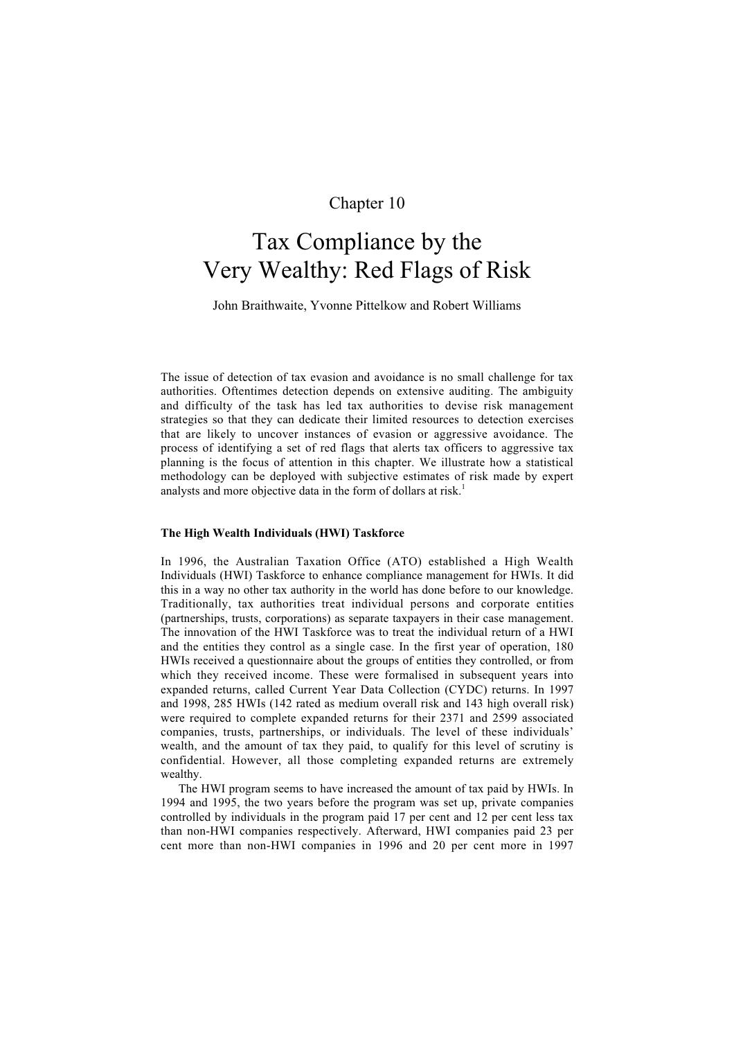# Chapter 10

# Tax Compliance by the Very Wealthy: Red Flags of Risk

John Braithwaite, Yvonne Pittelkow and Robert Williams

The issue of detection of tax evasion and avoidance is no small challenge for tax authorities. Oftentimes detection depends on extensive auditing. The ambiguity and difficulty of the task has led tax authorities to devise risk management strategies so that they can dedicate their limited resources to detection exercises that are likely to uncover instances of evasion or aggressive avoidance. The process of identifying a set of red flags that alerts tax officers to aggressive tax planning is the focus of attention in this chapter. We illustrate how a statistical methodology can be deployed with subjective estimates of risk made by expert analysts and more objective data in the form of dollars at risk.<sup>1</sup>

### **The High Wealth Individuals (HWI) Taskforce**

In 1996, the Australian Taxation Office (ATO) established a High Wealth Individuals (HWI) Taskforce to enhance compliance management for HWIs. It did this in a way no other tax authority in the world has done before to our knowledge. Traditionally, tax authorities treat individual persons and corporate entities (partnerships, trusts, corporations) as separate taxpayers in their case management. The innovation of the HWI Taskforce was to treat the individual return of a HWI and the entities they control as a single case. In the first year of operation, 180 HWIs received a questionnaire about the groups of entities they controlled, or from which they received income. These were formalised in subsequent years into expanded returns, called Current Year Data Collection (CYDC) returns. In 1997 and 1998, 285 HWIs (142 rated as medium overall risk and 143 high overall risk) were required to complete expanded returns for their 2371 and 2599 associated companies, trusts, partnerships, or individuals. The level of these individuals' wealth, and the amount of tax they paid, to qualify for this level of scrutiny is confidential. However, all those completing expanded returns are extremely wealthy.

The HWI program seems to have increased the amount of tax paid by HWIs. In 1994 and 1995, the two years before the program was set up, private companies controlled by individuals in the program paid 17 per cent and 12 per cent less tax than non-HWI companies respectively. Afterward, HWI companies paid 23 per cent more than non-HWI companies in 1996 and 20 per cent more in 1997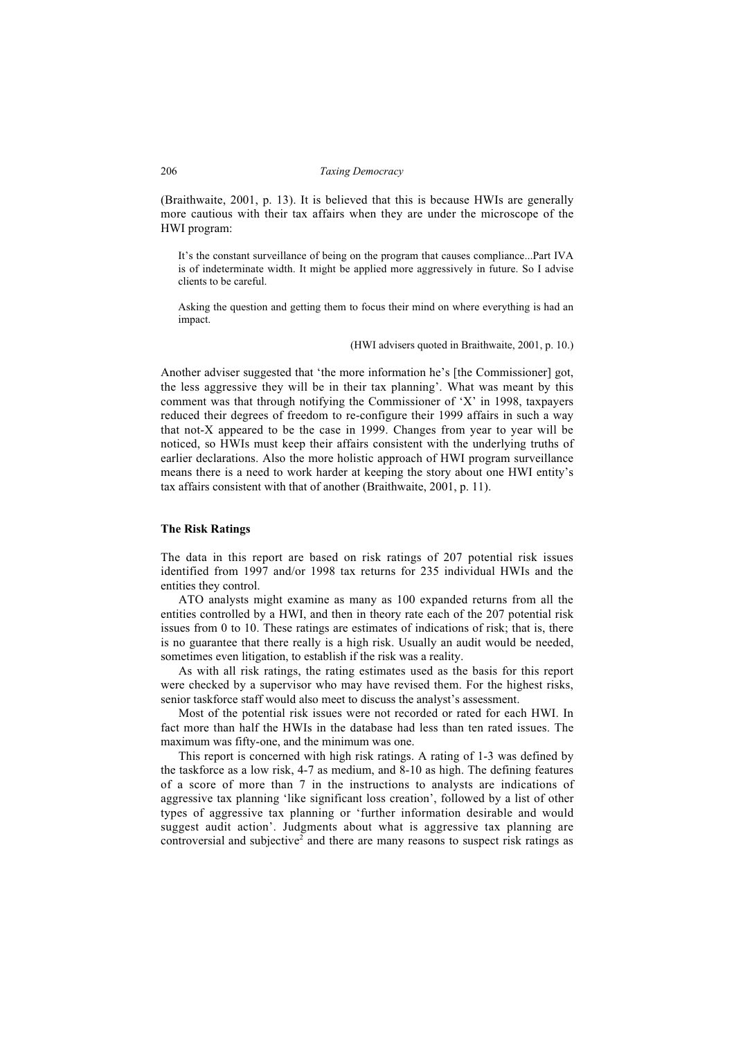(Braithwaite, 2001, p. 13). It is believed that this is because HWIs are generally more cautious with their tax affairs when they are under the microscope of the HWI program:

It's the constant surveillance of being on the program that causes compliance...Part IVA is of indeterminate width. It might be applied more aggressively in future. So I advise clients to be careful.

Asking the question and getting them to focus their mind on where everything is had an impact.

(HWI advisers quoted in Braithwaite, 2001, p. 10.)

Another adviser suggested that 'the more information he's [the Commissioner] got, the less aggressive they will be in their tax planning'. What was meant by this comment was that through notifying the Commissioner of 'X' in 1998, taxpayers reduced their degrees of freedom to re-configure their 1999 affairs in such a way that not-X appeared to be the case in 1999. Changes from year to year will be noticed, so HWIs must keep their affairs consistent with the underlying truths of earlier declarations. Also the more holistic approach of HWI program surveillance means there is a need to work harder at keeping the story about one HWI entity's tax affairs consistent with that of another (Braithwaite, 2001, p. 11).

#### **The Risk Ratings**

The data in this report are based on risk ratings of 207 potential risk issues identified from 1997 and/or 1998 tax returns for 235 individual HWIs and the entities they control.

ATO analysts might examine as many as 100 expanded returns from all the entities controlled by a HWI, and then in theory rate each of the 207 potential risk issues from 0 to 10. These ratings are estimates of indications of risk; that is, there is no guarantee that there really is a high risk. Usually an audit would be needed, sometimes even litigation, to establish if the risk was a reality.

As with all risk ratings, the rating estimates used as the basis for this report were checked by a supervisor who may have revised them. For the highest risks, senior taskforce staff would also meet to discuss the analyst's assessment.

Most of the potential risk issues were not recorded or rated for each HWI. In fact more than half the HWIs in the database had less than ten rated issues. The maximum was fifty-one, and the minimum was one.

This report is concerned with high risk ratings. A rating of 1-3 was defined by the taskforce as a low risk, 4-7 as medium, and 8-10 as high. The defining features of a score of more than 7 in the instructions to analysts are indications of aggressive tax planning 'like significant loss creation', followed by a list of other types of aggressive tax planning or 'further information desirable and would suggest audit action'. Judgments about what is aggressive tax planning are controversial and subjective<sup>2</sup> and there are many reasons to suspect risk ratings as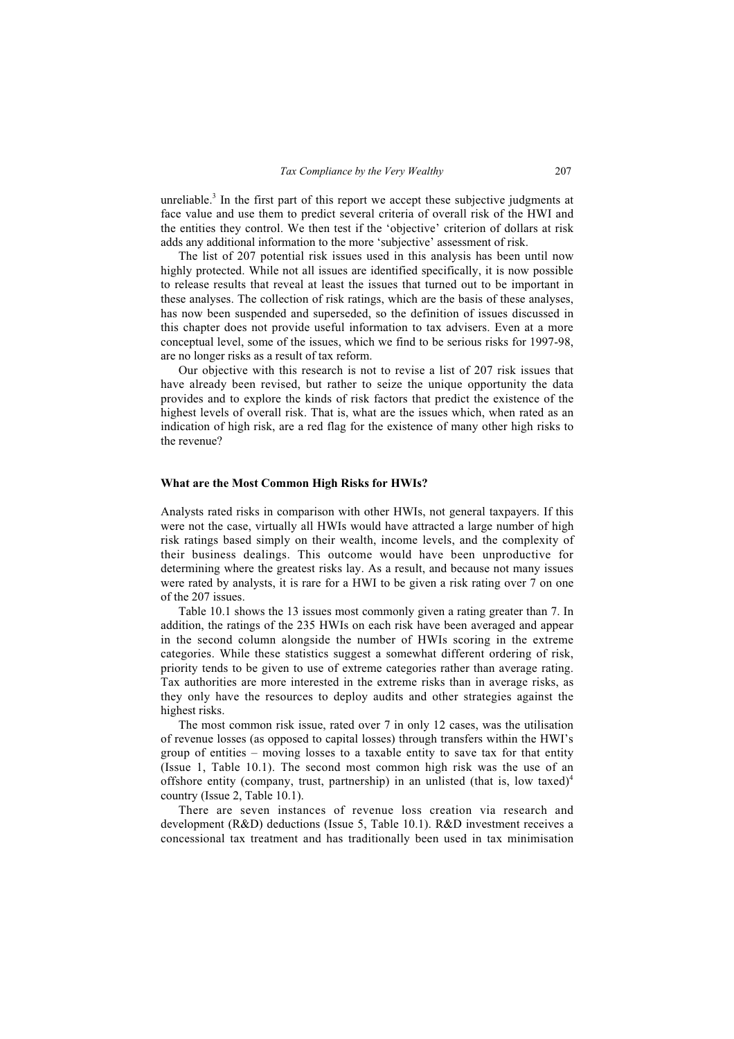unreliable.<sup>3</sup> In the first part of this report we accept these subjective judgments at face value and use them to predict several criteria of overall risk of the HWI and the entities they control. We then test if the 'objective' criterion of dollars at risk adds any additional information to the more 'subjective' assessment of risk.

The list of 207 potential risk issues used in this analysis has been until now highly protected. While not all issues are identified specifically, it is now possible to release results that reveal at least the issues that turned out to be important in these analyses. The collection of risk ratings, which are the basis of these analyses, has now been suspended and superseded, so the definition of issues discussed in this chapter does not provide useful information to tax advisers. Even at a more conceptual level, some of the issues, which we find to be serious risks for 1997-98, are no longer risks as a result of tax reform.

Our objective with this research is not to revise a list of 207 risk issues that have already been revised, but rather to seize the unique opportunity the data provides and to explore the kinds of risk factors that predict the existence of the highest levels of overall risk. That is, what are the issues which, when rated as an indication of high risk, are a red flag for the existence of many other high risks to the revenue?

#### **What are the Most Common High Risks for HWIs?**

Analysts rated risks in comparison with other HWIs, not general taxpayers. If this were not the case, virtually all HWIs would have attracted a large number of high risk ratings based simply on their wealth, income levels, and the complexity of their business dealings. This outcome would have been unproductive for determining where the greatest risks lay. As a result, and because not many issues were rated by analysts, it is rare for a HWI to be given a risk rating over 7 on one of the 207 issues.

Table 10.1 shows the 13 issues most commonly given a rating greater than 7. In addition, the ratings of the 235 HWIs on each risk have been averaged and appear in the second column alongside the number of HWIs scoring in the extreme categories. While these statistics suggest a somewhat different ordering of risk, priority tends to be given to use of extreme categories rather than average rating. Tax authorities are more interested in the extreme risks than in average risks, as they only have the resources to deploy audits and other strategies against the highest risks.

The most common risk issue, rated over 7 in only 12 cases, was the utilisation of revenue losses (as opposed to capital losses) through transfers within the HWI's group of entities – moving losses to a taxable entity to save tax for that entity (Issue 1, Table 10.1). The second most common high risk was the use of an offshore entity (company, trust, partnership) in an unlisted (that is, low taxed)<sup>4</sup> country (Issue 2, Table 10.1).

There are seven instances of revenue loss creation via research and development (R&D) deductions (Issue 5, Table 10.1). R&D investment receives a concessional tax treatment and has traditionally been used in tax minimisation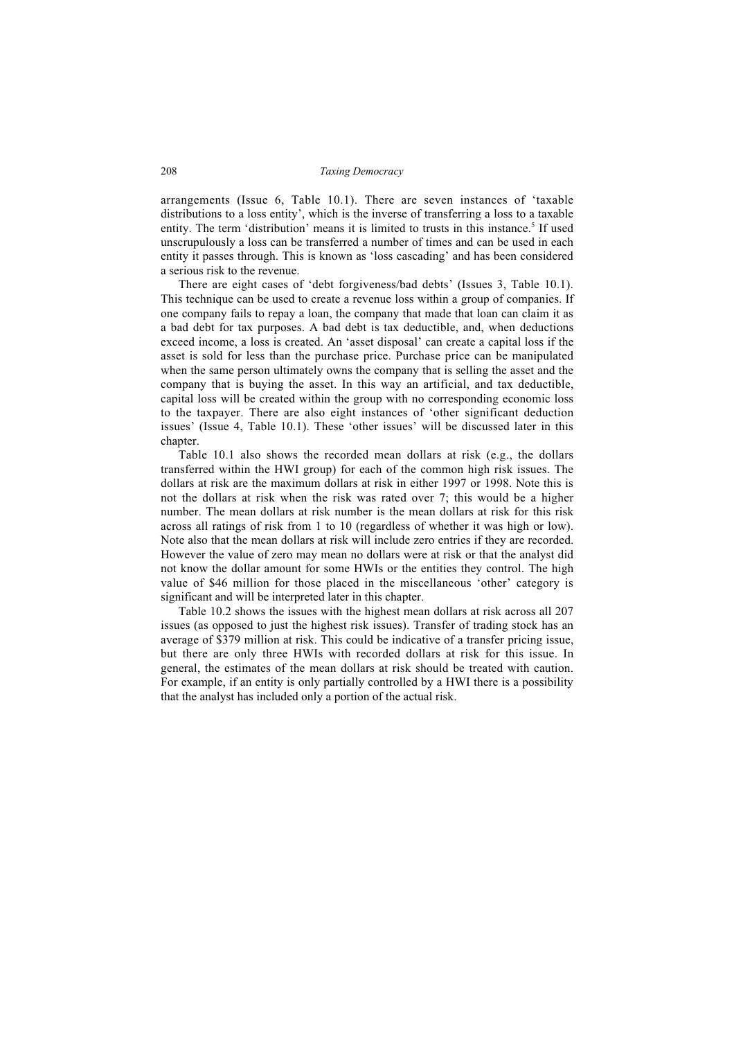arrangements (Issue 6, Table 10.1). There are seven instances of 'taxable distributions to a loss entity', which is the inverse of transferring a loss to a taxable entity. The term 'distribution' means it is limited to trusts in this instance.<sup>5</sup> If used unscrupulously a loss can be transferred a number of times and can be used in each entity it passes through. This is known as 'loss cascading' and has been considered a serious risk to the revenue.

There are eight cases of 'debt forgiveness/bad debts' (Issues 3, Table 10.1). This technique can be used to create a revenue loss within a group of companies. If one company fails to repay a loan, the company that made that loan can claim it as a bad debt for tax purposes. A bad debt is tax deductible, and, when deductions exceed income, a loss is created. An 'asset disposal' can create a capital loss if the asset is sold for less than the purchase price. Purchase price can be manipulated when the same person ultimately owns the company that is selling the asset and the company that is buying the asset. In this way an artificial, and tax deductible, capital loss will be created within the group with no corresponding economic loss to the taxpayer. There are also eight instances of 'other significant deduction issues' (Issue 4, Table 10.1). These 'other issues' will be discussed later in this chapter.

Table 10.1 also shows the recorded mean dollars at risk (e.g., the dollars transferred within the HWI group) for each of the common high risk issues. The dollars at risk are the maximum dollars at risk in either 1997 or 1998. Note this is not the dollars at risk when the risk was rated over 7; this would be a higher number. The mean dollars at risk number is the mean dollars at risk for this risk across all ratings of risk from 1 to 10 (regardless of whether it was high or low). Note also that the mean dollars at risk will include zero entries if they are recorded. However the value of zero may mean no dollars were at risk or that the analyst did not know the dollar amount for some HWIs or the entities they control. The high value of \$46 million for those placed in the miscellaneous 'other' category is significant and will be interpreted later in this chapter.

Table 10.2 shows the issues with the highest mean dollars at risk across all 207 issues (as opposed to just the highest risk issues). Transfer of trading stock has an average of \$379 million at risk. This could be indicative of a transfer pricing issue, but there are only three HWIs with recorded dollars at risk for this issue. In general, the estimates of the mean dollars at risk should be treated with caution. For example, if an entity is only partially controlled by a HWI there is a possibility that the analyst has included only a portion of the actual risk.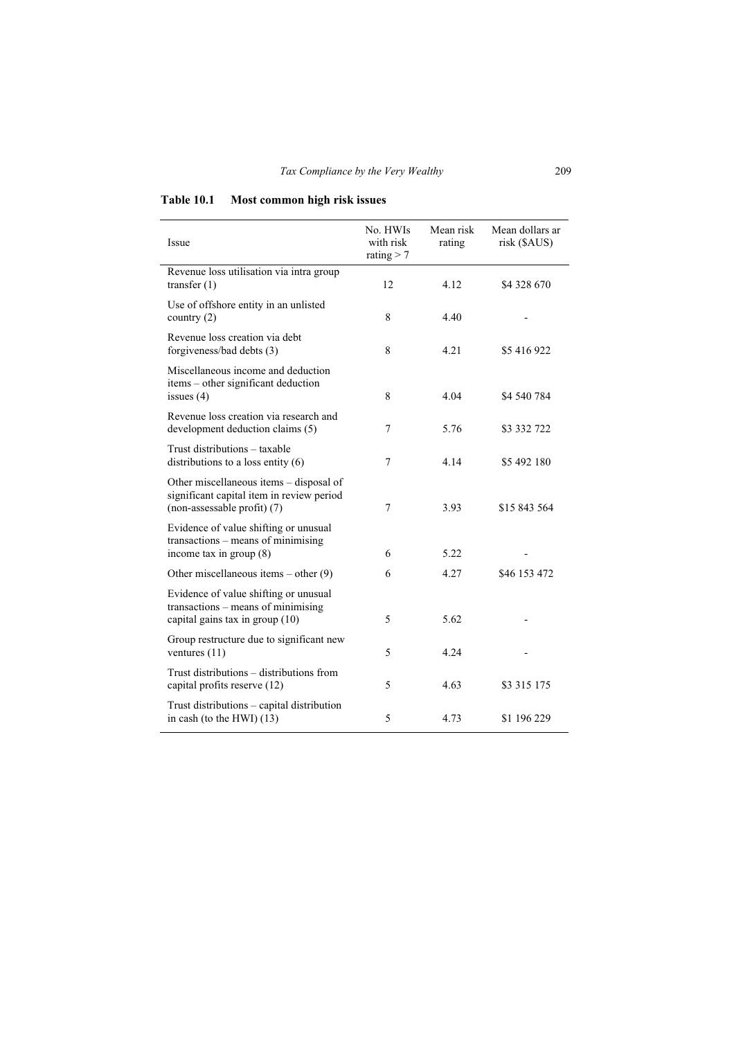# **Table 10.1 Most common high risk issues**

| Issue                                                                                                               | No. HWIs<br>with risk<br>rating $> 7$ | Mean risk<br>rating | Mean dollars ar<br>risk (\$AUS) |
|---------------------------------------------------------------------------------------------------------------------|---------------------------------------|---------------------|---------------------------------|
| Revenue loss utilisation via intra group<br>transfer $(1)$                                                          | 12                                    | 4.12                | \$4 328 670                     |
| Use of offshore entity in an unlisted<br>country $(2)$                                                              | 8                                     | 4.40                |                                 |
| Revenue loss creation via debt<br>forgiveness/bad debts (3)                                                         | 8                                     | 4.21                | \$5416922                       |
| Miscellaneous income and deduction<br>items – other significant deduction<br>issues $(4)$                           | 8                                     | 4.04                | \$4 540 784                     |
| Revenue loss creation via research and<br>development deduction claims (5)                                          | 7                                     | 5.76                | \$3 332 722                     |
| Trust distributions – taxable<br>distributions to a loss entity $(6)$                                               | 7                                     | 4.14                | \$5492180                       |
| Other miscellaneous items – disposal of<br>significant capital item in review period<br>(non-assessable profit) (7) | 7                                     | 3.93                | \$15 843 564                    |
| Evidence of value shifting or unusual<br>$transactions$ – means of minimising<br>income tax in group $(8)$          | 6                                     | 5.22                |                                 |
| Other miscellaneous items $-$ other (9)                                                                             | 6                                     | 4.27                | \$46 153 472                    |
| Evidence of value shifting or unusual<br>$transactions$ – means of minimising<br>capital gains tax in group (10)    | 5                                     | 5.62                |                                 |
| Group restructure due to significant new<br>ventures $(11)$                                                         | 5                                     | 4.24                |                                 |
| Trust distributions - distributions from<br>capital profits reserve (12)                                            | 5                                     | 4.63                | \$3 315 175                     |
| Trust distributions – capital distribution<br>in cash (to the HWI) $(13)$                                           | 5                                     | 4.73                | \$1 196 229                     |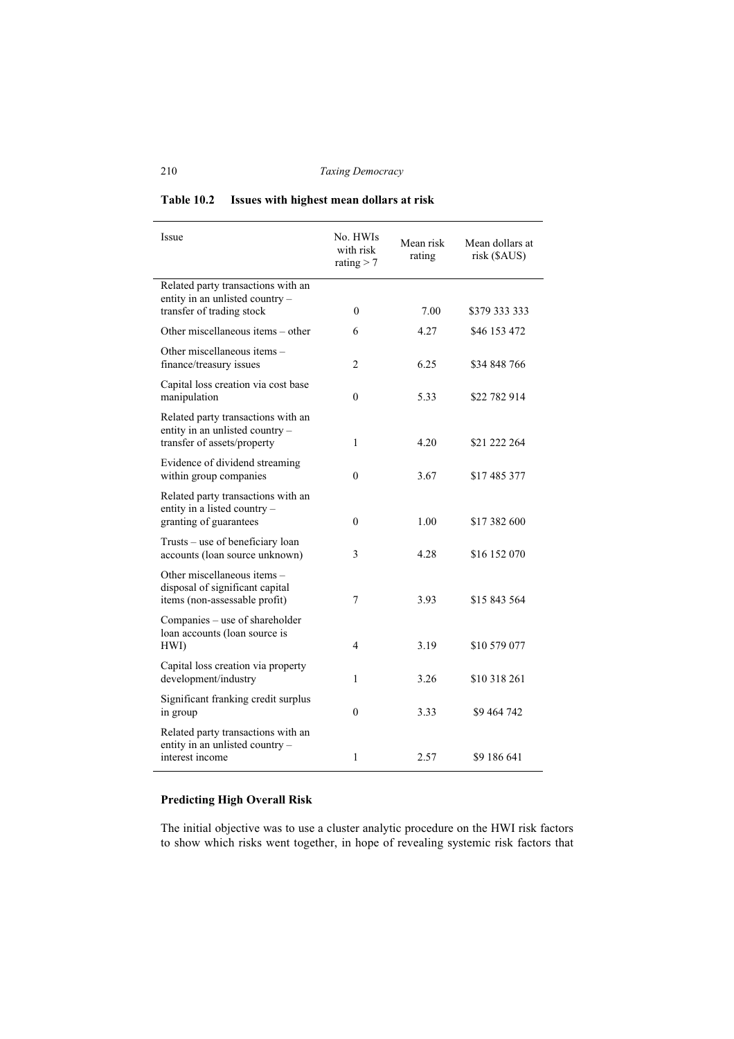# **Table 10.2 Issues with highest mean dollars at risk**

| Issue                                                                                                | No. HWIs<br>with risk<br>rating $> 7$ | Mean risk<br>rating | Mean dollars at<br>risk (\$AUS) |
|------------------------------------------------------------------------------------------------------|---------------------------------------|---------------------|---------------------------------|
| Related party transactions with an<br>entity in an unlisted country -<br>transfer of trading stock   | $\theta$                              | 7.00                | \$379 333 333                   |
| Other miscellaneous items – other                                                                    | 6                                     | 4.27                | \$46 153 472                    |
| Other miscellaneous items -<br>finance/treasury issues                                               | $\mathfrak{D}$                        | 6.25                | \$34 848 766                    |
| Capital loss creation via cost base<br>manipulation                                                  | $\mathbf{0}$                          | 5.33                | \$22 782 914                    |
| Related party transactions with an<br>entity in an unlisted country -<br>transfer of assets/property | 1                                     | 4.20                | \$21 222 264                    |
| Evidence of dividend streaming<br>within group companies                                             | $\theta$                              | 3.67                | \$17485377                      |
| Related party transactions with an<br>entity in a listed country -<br>granting of guarantees         | $\Omega$                              | 1.00                | \$17 382 600                    |
| Trusts – use of beneficiary loan<br>accounts (loan source unknown)                                   | 3                                     | 4.28                | \$16 152 070                    |
| Other miscellaneous items -<br>disposal of significant capital<br>items (non-assessable profit)      | 7                                     | 3.93                | \$15 843 564                    |
| Companies – use of shareholder<br>loan accounts (loan source is<br>HWI)                              | 4                                     | 3.19                | \$10 579 077                    |
| Capital loss creation via property<br>development/industry                                           | 1                                     | 3.26                | \$10 318 261                    |
| Significant franking credit surplus<br>in group                                                      | $\theta$                              | 3.33                | \$9 464 742                     |
| Related party transactions with an<br>entity in an unlisted country -<br>interest income             | 1                                     | 2.57                | \$9 186 641                     |

# **Predicting High Overall Risk**

The initial objective was to use a cluster analytic procedure on the HWI risk factors to show which risks went together, in hope of revealing systemic risk factors that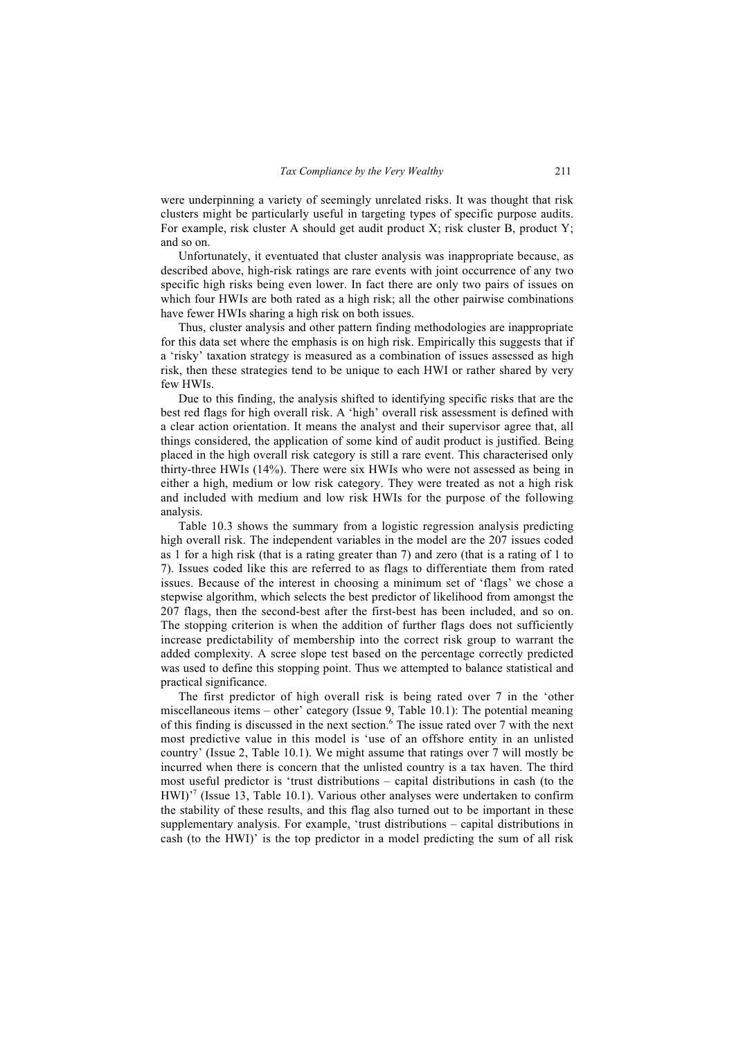were underpinning a variety of seemingly unrelated risks. It was thought that risk clusters might be particularly useful in targeting types of specific purpose audits. For example, risk cluster A should get audit product X; risk cluster B, product Y; and so on.

Unfortunately, it eventuated that cluster analysis was inappropriate because, as described above, high-risk ratings are rare events with joint occurrence of any two specific high risks being even lower. In fact there are only two pairs of issues on which four HWIs are both rated as a high risk; all the other pairwise combinations have fewer HWIs sharing a high risk on both issues.

Thus, cluster analysis and other pattern finding methodologies are inappropriate for this data set where the emphasis is on high risk. Empirically this suggests that if a 'risky' taxation strategy is measured as a combination of issues assessed as high risk, then these strategies tend to be unique to each HWI or rather shared by very few HWIs.

Due to this finding, the analysis shifted to identifying specific risks that are the best red flags for high overall risk. A 'high' overall risk assessment is defined with a clear action orientation. It means the analyst and their supervisor agree that, all things considered, the application of some kind of audit product is justified. Being placed in the high overall risk category is still a rare event. This characterised only thirty-three HWIs (14%). There were six HWIs who were not assessed as being in either a high, medium or low risk category. They were treated as not a high risk and included with medium and low risk HWIs for the purpose of the following analysis.

Table 10.3 shows the summary from a logistic regression analysis predicting high overall risk. The independent variables in the model are the 207 issues coded as 1 for a high risk (that is a rating greater than 7) and zero (that is a rating of 1 to 7). Issues coded like this are referred to as flags to differentiate them from rated issues. Because of the interest in choosing a minimum set of 'flags' we chose a stepwise algorithm, which selects the best predictor of likelihood from amongst the 207 flags, then the second-best after the first-best has been included, and so on. The stopping criterion is when the addition of further flags does not sufficiently increase predictability of membership into the correct risk group to warrant the added complexity. A scree slope test based on the percentage correctly predicted was used to define this stopping point. Thus we attempted to balance statistical and practical significance.

The first predictor of high overall risk is being rated over 7 in the 'other miscellaneous items – other' category (Issue 9, Table 10.1): The potential meaning of this finding is discussed in the next section.<sup>6</sup> The issue rated over 7 with the next most predictive value in this model is 'use of an offshore entity in an unlisted country' (Issue 2, Table 10.1). We might assume that ratings over 7 will mostly be incurred when there is concern that the unlisted country is a tax haven. The third most useful predictor is 'trust distributions – capital distributions in cash (to the HWI)<sup>'7</sup> (Issue 13, Table 10.1). Various other analyses were undertaken to confirm the stability of these results, and this flag also turned out to be important in these supplementary analysis. For example, 'trust distributions – capital distributions in cash (to the HWI)' is the top predictor in a model predicting the sum of all risk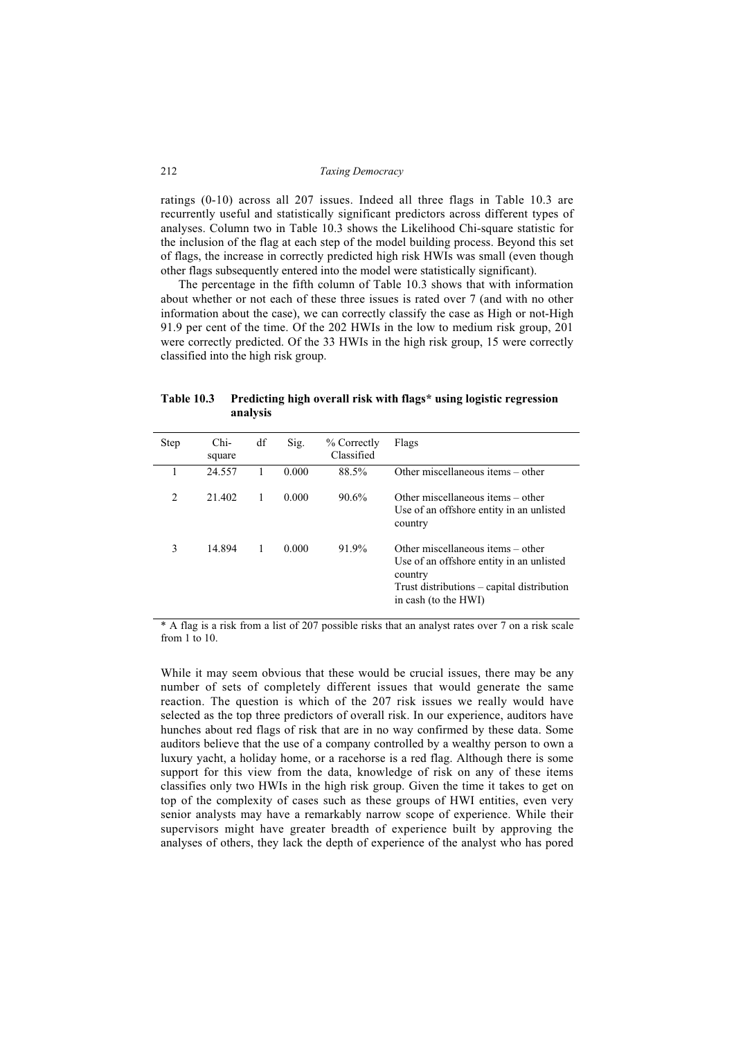ratings (0-10) across all 207 issues. Indeed all three flags in Table 10.3 are recurrently useful and statistically significant predictors across different types of analyses. Column two in Table 10.3 shows the Likelihood Chi-square statistic for the inclusion of the flag at each step of the model building process. Beyond this set of flags, the increase in correctly predicted high risk HWIs was small (even though other flags subsequently entered into the model were statistically significant).

The percentage in the fifth column of Table 10.3 shows that with information about whether or not each of these three issues is rated over 7 (and with no other information about the case), we can correctly classify the case as High or not-High 91.9 per cent of the time. Of the 202 HWIs in the low to medium risk group, 201 were correctly predicted. Of the 33 HWIs in the high risk group, 15 were correctly classified into the high risk group.

**Table 10.3 Predicting high overall risk with flags\* using logistic regression analysis**

| Step | Chi-<br>square | df | Sig.  | % Correctly<br>Classified | Flags                                                                                                                                                          |
|------|----------------|----|-------|---------------------------|----------------------------------------------------------------------------------------------------------------------------------------------------------------|
|      | 24.557         |    | 0.000 | 88.5%                     | Other miscellaneous items $-$ other                                                                                                                            |
| 2    | 21.402         | 1  | 0.000 | 90.6%                     | Other miscellaneous items – other<br>Use of an offshore entity in an unlisted<br>country                                                                       |
| 3    | 14.894         | 1  | 0.000 | 91.9%                     | Other miscellaneous items – other<br>Use of an offshore entity in an unlisted<br>country<br>Trust distributions – capital distribution<br>in cash (to the HWI) |

\* A flag is a risk from a list of 207 possible risks that an analyst rates over 7 on a risk scale from 1 to 10.

While it may seem obvious that these would be crucial issues, there may be any number of sets of completely different issues that would generate the same reaction. The question is which of the 207 risk issues we really would have selected as the top three predictors of overall risk. In our experience, auditors have hunches about red flags of risk that are in no way confirmed by these data. Some auditors believe that the use of a company controlled by a wealthy person to own a luxury yacht, a holiday home, or a racehorse is a red flag. Although there is some support for this view from the data, knowledge of risk on any of these items classifies only two HWIs in the high risk group. Given the time it takes to get on top of the complexity of cases such as these groups of HWI entities, even very senior analysts may have a remarkably narrow scope of experience. While their supervisors might have greater breadth of experience built by approving the analyses of others, they lack the depth of experience of the analyst who has pored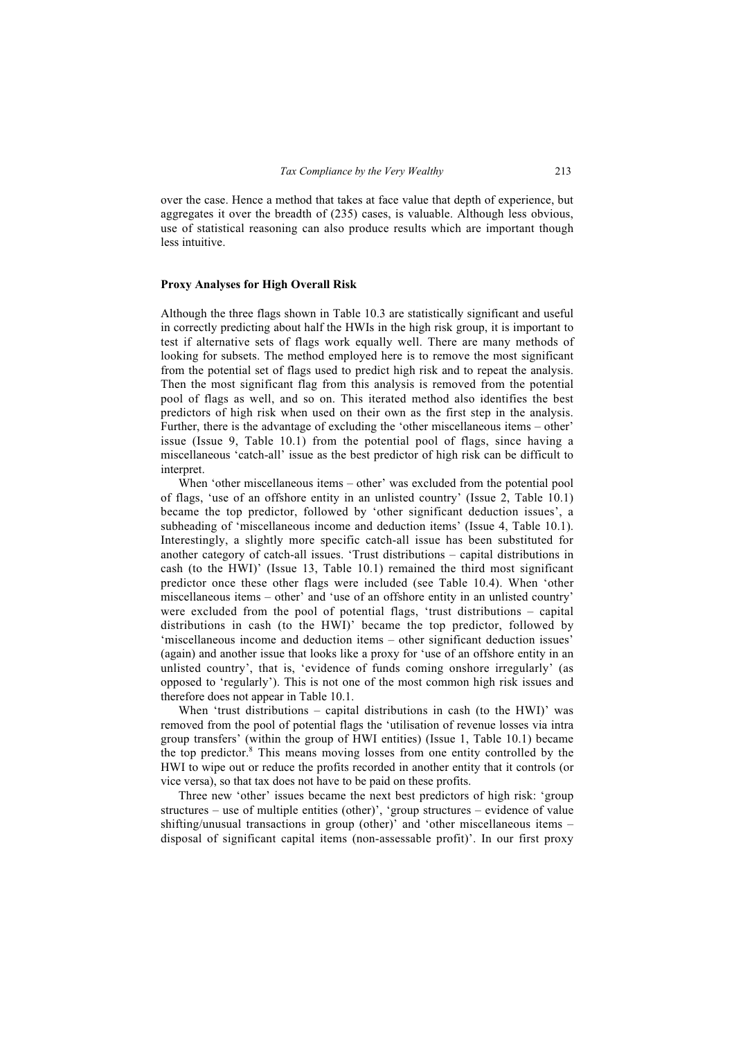over the case. Hence a method that takes at face value that depth of experience, but aggregates it over the breadth of (235) cases, is valuable. Although less obvious, use of statistical reasoning can also produce results which are important though less intuitive.

#### **Proxy Analyses for High Overall Risk**

Although the three flags shown in Table 10.3 are statistically significant and useful in correctly predicting about half the HWIs in the high risk group, it is important to test if alternative sets of flags work equally well. There are many methods of looking for subsets. The method employed here is to remove the most significant from the potential set of flags used to predict high risk and to repeat the analysis. Then the most significant flag from this analysis is removed from the potential pool of flags as well, and so on. This iterated method also identifies the best predictors of high risk when used on their own as the first step in the analysis. Further, there is the advantage of excluding the 'other miscellaneous items – other' issue (Issue 9, Table 10.1) from the potential pool of flags, since having a miscellaneous 'catch-all' issue as the best predictor of high risk can be difficult to interpret.

When 'other miscellaneous items – other' was excluded from the potential pool of flags, 'use of an offshore entity in an unlisted country' (Issue 2, Table 10.1) became the top predictor, followed by 'other significant deduction issues', a subheading of 'miscellaneous income and deduction items' (Issue 4, Table 10.1). Interestingly, a slightly more specific catch-all issue has been substituted for another category of catch-all issues. 'Trust distributions – capital distributions in cash (to the HWI)' (Issue 13, Table 10.1) remained the third most significant predictor once these other flags were included (see Table 10.4). When 'other miscellaneous items – other' and 'use of an offshore entity in an unlisted country' were excluded from the pool of potential flags, 'trust distributions – capital distributions in cash (to the HWI)' became the top predictor, followed by 'miscellaneous income and deduction items – other significant deduction issues' (again) and another issue that looks like a proxy for 'use of an offshore entity in an unlisted country', that is, 'evidence of funds coming onshore irregularly' (as opposed to 'regularly'). This is not one of the most common high risk issues and therefore does not appear in Table 10.1.

When 'trust distributions – capital distributions in cash (to the HWI)' was removed from the pool of potential flags the 'utilisation of revenue losses via intra group transfers' (within the group of HWI entities) (Issue 1, Table 10.1) became the top predictor.<sup>8</sup> This means moving losses from one entity controlled by the HWI to wipe out or reduce the profits recorded in another entity that it controls (or vice versa), so that tax does not have to be paid on these profits.

Three new 'other' issues became the next best predictors of high risk: 'group structures – use of multiple entities (other)', 'group structures – evidence of value shifting/unusual transactions in group (other)' and 'other miscellaneous items – disposal of significant capital items (non-assessable profit)'. In our first proxy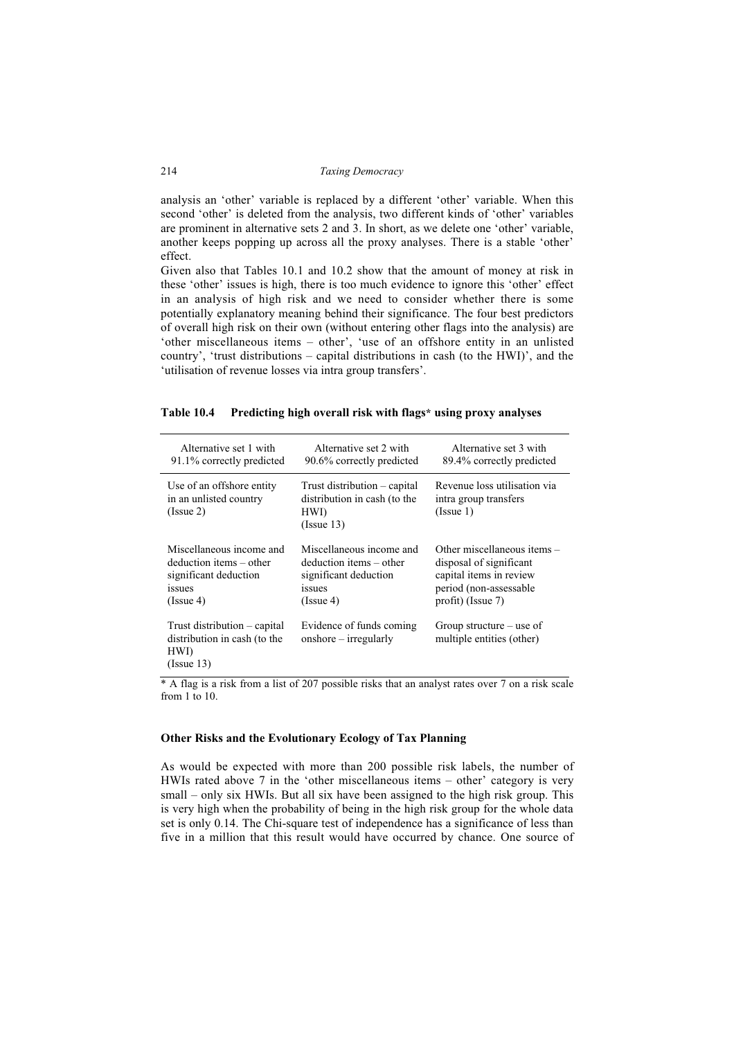analysis an 'other' variable is replaced by a different 'other' variable. When this second 'other' is deleted from the analysis, two different kinds of 'other' variables are prominent in alternative sets 2 and 3. In short, as we delete one 'other' variable, another keeps popping up across all the proxy analyses. There is a stable 'other' effect.

Given also that Tables 10.1 and 10.2 show that the amount of money at risk in these 'other' issues is high, there is too much evidence to ignore this 'other' effect in an analysis of high risk and we need to consider whether there is some potentially explanatory meaning behind their significance. The four best predictors of overall high risk on their own (without entering other flags into the analysis) are 'other miscellaneous items – other', 'use of an offshore entity in an unlisted country', 'trust distributions – capital distributions in cash (to the HWI)', and the 'utilisation of revenue losses via intra group transfers'.

| Alternative set 1 with                                                                | Alternative set 2 with                                                             | Alternative set 3 with                                             |
|---------------------------------------------------------------------------------------|------------------------------------------------------------------------------------|--------------------------------------------------------------------|
| 91.1% correctly predicted                                                             | 90.6% correctly predicted                                                          | 89.4% correctly predicted                                          |
| Use of an offshore entity<br>in an unlisted country<br>(Issue 2)                      | Trust distribution – capital<br>distribution in cash (to the<br>HWI)<br>(Issue 13) | Revenue loss utilisation via<br>intra group transfers<br>(Issue 1) |
| Miscellaneous income and                                                              | Miscellaneous income and                                                           | Other miscellaneous items $-$                                      |
| deduction items – other                                                               | deduction items – other                                                            | disposal of significant                                            |
| significant deduction                                                                 | significant deduction                                                              | capital items in review                                            |
| issues                                                                                | issues                                                                             | period (non-assessable                                             |
| (Issue 4)                                                                             | (Issue 4)                                                                          | profit) (Issue 7)                                                  |
| Trust distribution – capital<br>distribution in cash (to the<br>HWI)<br>(Issue $13$ ) | Evidence of funds coming<br>$onshore - irregularly$                                | Group structure – use of<br>multiple entities (other)              |

| Table 10.4 | Predicting high overall risk with flags* using proxy analyses |  |  |  |  |
|------------|---------------------------------------------------------------|--|--|--|--|
|------------|---------------------------------------------------------------|--|--|--|--|

\* A flag is a risk from a list of 207 possible risks that an analyst rates over 7 on a risk scale from 1 to 10.

# **Other Risks and the Evolutionary Ecology of Tax Planning**

As would be expected with more than 200 possible risk labels, the number of HWIs rated above 7 in the 'other miscellaneous items – other' category is very small – only six HWIs. But all six have been assigned to the high risk group. This is very high when the probability of being in the high risk group for the whole data set is only 0.14. The Chi-square test of independence has a significance of less than five in a million that this result would have occurred by chance. One source of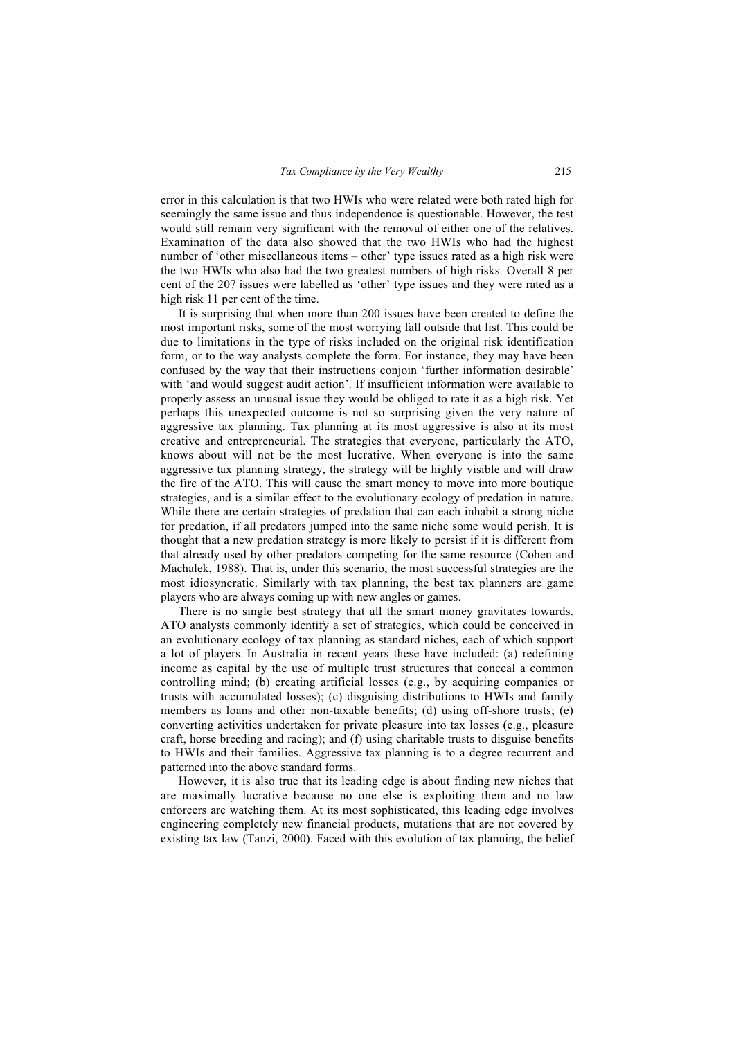error in this calculation is that two HWIs who were related were both rated high for seemingly the same issue and thus independence is questionable. However, the test would still remain very significant with the removal of either one of the relatives. Examination of the data also showed that the two HWIs who had the highest number of 'other miscellaneous items – other' type issues rated as a high risk were the two HWIs who also had the two greatest numbers of high risks. Overall 8 per cent of the 207 issues were labelled as 'other' type issues and they were rated as a high risk 11 per cent of the time.

It is surprising that when more than 200 issues have been created to define the most important risks, some of the most worrying fall outside that list. This could be due to limitations in the type of risks included on the original risk identification form, or to the way analysts complete the form. For instance, they may have been confused by the way that their instructions conjoin 'further information desirable' with 'and would suggest audit action'. If insufficient information were available to properly assess an unusual issue they would be obliged to rate it as a high risk. Yet perhaps this unexpected outcome is not so surprising given the very nature of aggressive tax planning. Tax planning at its most aggressive is also at its most creative and entrepreneurial. The strategies that everyone, particularly the ATO, knows about will not be the most lucrative. When everyone is into the same aggressive tax planning strategy, the strategy will be highly visible and will draw the fire of the ATO. This will cause the smart money to move into more boutique strategies, and is a similar effect to the evolutionary ecology of predation in nature. While there are certain strategies of predation that can each inhabit a strong niche for predation, if all predators jumped into the same niche some would perish. It is thought that a new predation strategy is more likely to persist if it is different from that already used by other predators competing for the same resource (Cohen and Machalek, 1988). That is, under this scenario, the most successful strategies are the most idiosyncratic. Similarly with tax planning, the best tax planners are game players who are always coming up with new angles or games.

There is no single best strategy that all the smart money gravitates towards. ATO analysts commonly identify a set of strategies, which could be conceived in an evolutionary ecology of tax planning as standard niches, each of which support a lot of players. In Australia in recent years these have included: (a) redefining income as capital by the use of multiple trust structures that conceal a common controlling mind; (b) creating artificial losses (e.g., by acquiring companies or trusts with accumulated losses); (c) disguising distributions to HWIs and family members as loans and other non-taxable benefits; (d) using off-shore trusts; (e) converting activities undertaken for private pleasure into tax losses (e.g., pleasure craft, horse breeding and racing); and (f) using charitable trusts to disguise benefits to HWIs and their families. Aggressive tax planning is to a degree recurrent and patterned into the above standard forms.

However, it is also true that its leading edge is about finding new niches that are maximally lucrative because no one else is exploiting them and no law enforcers are watching them. At its most sophisticated, this leading edge involves engineering completely new financial products, mutations that are not covered by existing tax law (Tanzi, 2000). Faced with this evolution of tax planning, the belief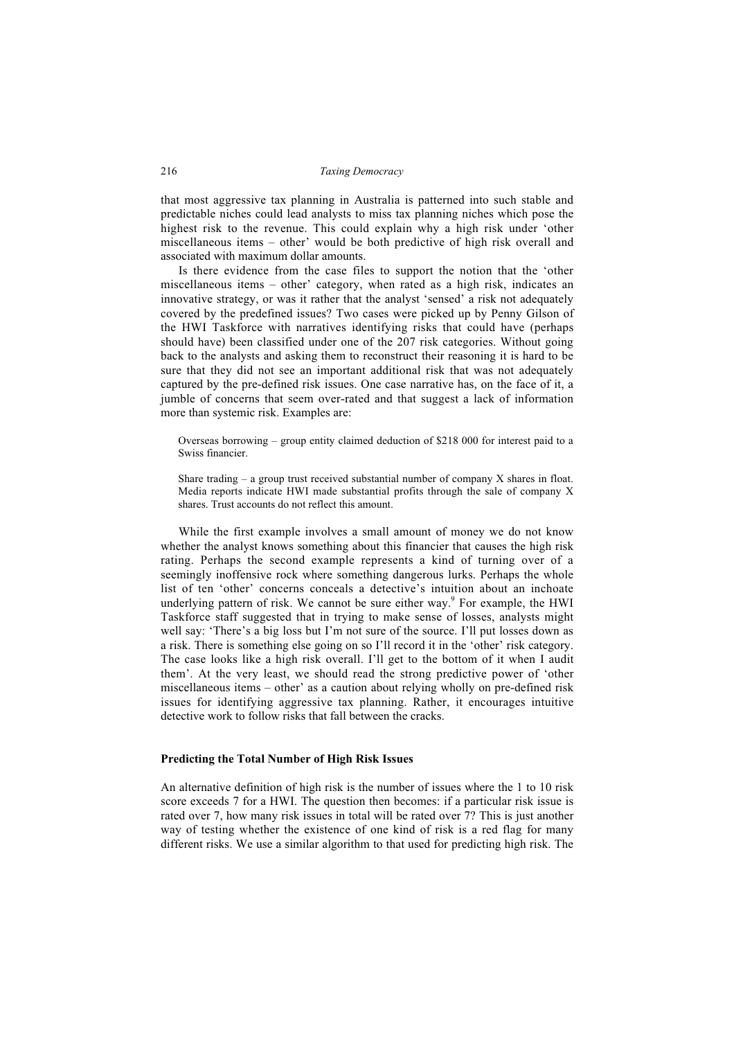that most aggressive tax planning in Australia is patterned into such stable and predictable niches could lead analysts to miss tax planning niches which pose the highest risk to the revenue. This could explain why a high risk under 'other miscellaneous items – other' would be both predictive of high risk overall and associated with maximum dollar amounts.

Is there evidence from the case files to support the notion that the 'other miscellaneous items – other' category, when rated as a high risk, indicates an innovative strategy, or was it rather that the analyst 'sensed' a risk not adequately covered by the predefined issues? Two cases were picked up by Penny Gilson of the HWI Taskforce with narratives identifying risks that could have (perhaps should have) been classified under one of the 207 risk categories. Without going back to the analysts and asking them to reconstruct their reasoning it is hard to be sure that they did not see an important additional risk that was not adequately captured by the pre-defined risk issues. One case narrative has, on the face of it, a jumble of concerns that seem over-rated and that suggest a lack of information more than systemic risk. Examples are:

Overseas borrowing – group entity claimed deduction of \$218 000 for interest paid to a Swiss financier.

Share trading – a group trust received substantial number of company X shares in float. Media reports indicate HWI made substantial profits through the sale of company X shares. Trust accounts do not reflect this amount.

While the first example involves a small amount of money we do not know whether the analyst knows something about this financier that causes the high risk rating. Perhaps the second example represents a kind of turning over of a seemingly inoffensive rock where something dangerous lurks. Perhaps the whole list of ten 'other' concerns conceals a detective's intuition about an inchoate underlying pattern of risk. We cannot be sure either way. $9$  For example, the HWI Taskforce staff suggested that in trying to make sense of losses, analysts might well say: 'There's a big loss but I'm not sure of the source. I'll put losses down as a risk. There is something else going on so I'll record it in the 'other' risk category. The case looks like a high risk overall. I'll get to the bottom of it when I audit them'. At the very least, we should read the strong predictive power of 'other miscellaneous items – other' as a caution about relying wholly on pre-defined risk issues for identifying aggressive tax planning. Rather, it encourages intuitive detective work to follow risks that fall between the cracks.

#### **Predicting the Total Number of High Risk Issues**

An alternative definition of high risk is the number of issues where the 1 to 10 risk score exceeds 7 for a HWI. The question then becomes: if a particular risk issue is rated over 7, how many risk issues in total will be rated over 7? This is just another way of testing whether the existence of one kind of risk is a red flag for many different risks. We use a similar algorithm to that used for predicting high risk. The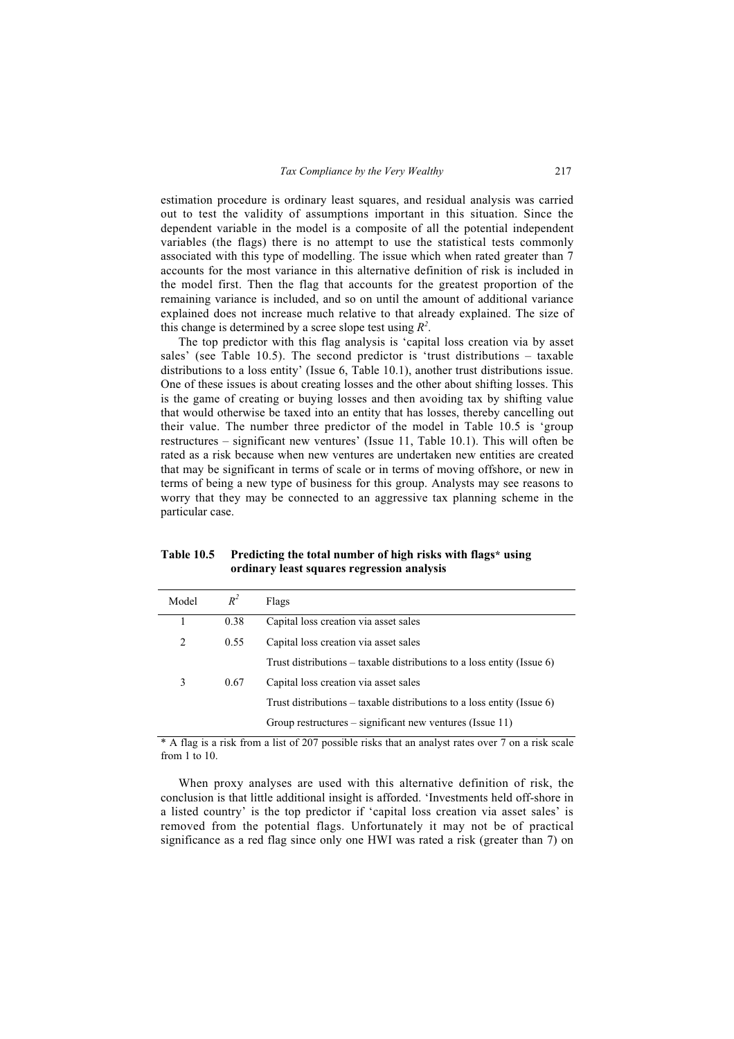estimation procedure is ordinary least squares, and residual analysis was carried out to test the validity of assumptions important in this situation. Since the dependent variable in the model is a composite of all the potential independent variables (the flags) there is no attempt to use the statistical tests commonly associated with this type of modelling. The issue which when rated greater than 7 accounts for the most variance in this alternative definition of risk is included in the model first. Then the flag that accounts for the greatest proportion of the remaining variance is included, and so on until the amount of additional variance explained does not increase much relative to that already explained. The size of this change is determined by a scree slope test using  $R^2$ .

The top predictor with this flag analysis is 'capital loss creation via by asset sales' (see Table 10.5). The second predictor is 'trust distributions – taxable distributions to a loss entity' (Issue 6, Table 10.1), another trust distributions issue. One of these issues is about creating losses and the other about shifting losses. This is the game of creating or buying losses and then avoiding tax by shifting value that would otherwise be taxed into an entity that has losses, thereby cancelling out their value. The number three predictor of the model in Table 10.5 is 'group restructures – significant new ventures' (Issue 11, Table 10.1). This will often be rated as a risk because when new ventures are undertaken new entities are created that may be significant in terms of scale or in terms of moving offshore, or new in terms of being a new type of business for this group. Analysts may see reasons to worry that they may be connected to an aggressive tax planning scheme in the particular case.

| Model | $R^2$ | Flags                                                                     |
|-------|-------|---------------------------------------------------------------------------|
|       | 0.38  | Capital loss creation via asset sales                                     |
| 2     | 0.55  | Capital loss creation via asset sales                                     |
|       |       | Trust distributions – taxable distributions to a loss entity (Issue $6$ ) |
| 3     | 0.67  | Capital loss creation via asset sales                                     |
|       |       | Trust distributions – taxable distributions to a loss entity (Issue $6$ ) |
|       |       | Group restructures – significant new ventures (Issue 11)                  |

**Table 10.5 Predicting the total number of high risks with flags\* using ordinary least squares regression analysis**

\* A flag is a risk from a list of 207 possible risks that an analyst rates over 7 on a risk scale from 1 to 10.

When proxy analyses are used with this alternative definition of risk, the conclusion is that little additional insight is afforded. 'Investments held off-shore in a listed country' is the top predictor if 'capital loss creation via asset sales' is removed from the potential flags. Unfortunately it may not be of practical significance as a red flag since only one HWI was rated a risk (greater than 7) on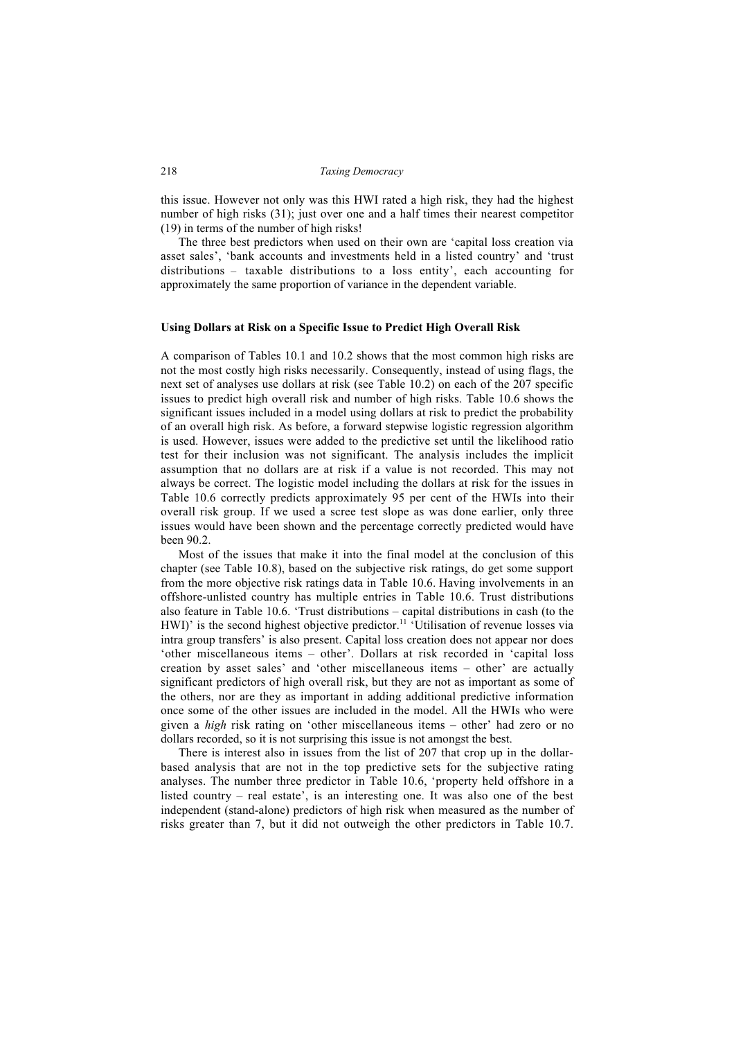this issue. However not only was this HWI rated a high risk, they had the highest number of high risks (31); just over one and a half times their nearest competitor (19) in terms of the number of high risks!

The three best predictors when used on their own are 'capital loss creation via asset sales', 'bank accounts and investments held in a listed country' and 'trust distributions – taxable distributions to a loss entity', each accounting for approximately the same proportion of variance in the dependent variable.

#### **Using Dollars at Risk on a Specific Issue to Predict High Overall Risk**

A comparison of Tables 10.1 and 10.2 shows that the most common high risks are not the most costly high risks necessarily. Consequently, instead of using flags, the next set of analyses use dollars at risk (see Table 10.2) on each of the 207 specific issues to predict high overall risk and number of high risks. Table 10.6 shows the significant issues included in a model using dollars at risk to predict the probability of an overall high risk. As before, a forward stepwise logistic regression algorithm is used. However, issues were added to the predictive set until the likelihood ratio test for their inclusion was not significant. The analysis includes the implicit assumption that no dollars are at risk if a value is not recorded. This may not always be correct. The logistic model including the dollars at risk for the issues in Table 10.6 correctly predicts approximately 95 per cent of the HWIs into their overall risk group. If we used a scree test slope as was done earlier, only three issues would have been shown and the percentage correctly predicted would have been 90.2.

Most of the issues that make it into the final model at the conclusion of this chapter (see Table 10.8), based on the subjective risk ratings, do get some support from the more objective risk ratings data in Table 10.6. Having involvements in an offshore-unlisted country has multiple entries in Table 10.6. Trust distributions also feature in Table 10.6. 'Trust distributions – capital distributions in cash (to the HWI)' is the second highest objective predictor.<sup>11</sup> 'Utilisation of revenue losses via intra group transfers' is also present. Capital loss creation does not appear nor does 'other miscellaneous items – other'. Dollars at risk recorded in 'capital loss creation by asset sales' and 'other miscellaneous items – other' are actually significant predictors of high overall risk, but they are not as important as some of the others, nor are they as important in adding additional predictive information once some of the other issues are included in the model. All the HWIs who were given a *high* risk rating on 'other miscellaneous items – other' had zero or no dollars recorded, so it is not surprising this issue is not amongst the best.

There is interest also in issues from the list of 207 that crop up in the dollarbased analysis that are not in the top predictive sets for the subjective rating analyses. The number three predictor in Table 10.6, 'property held offshore in a listed country – real estate', is an interesting one. It was also one of the best independent (stand-alone) predictors of high risk when measured as the number of risks greater than 7, but it did not outweigh the other predictors in Table 10.7.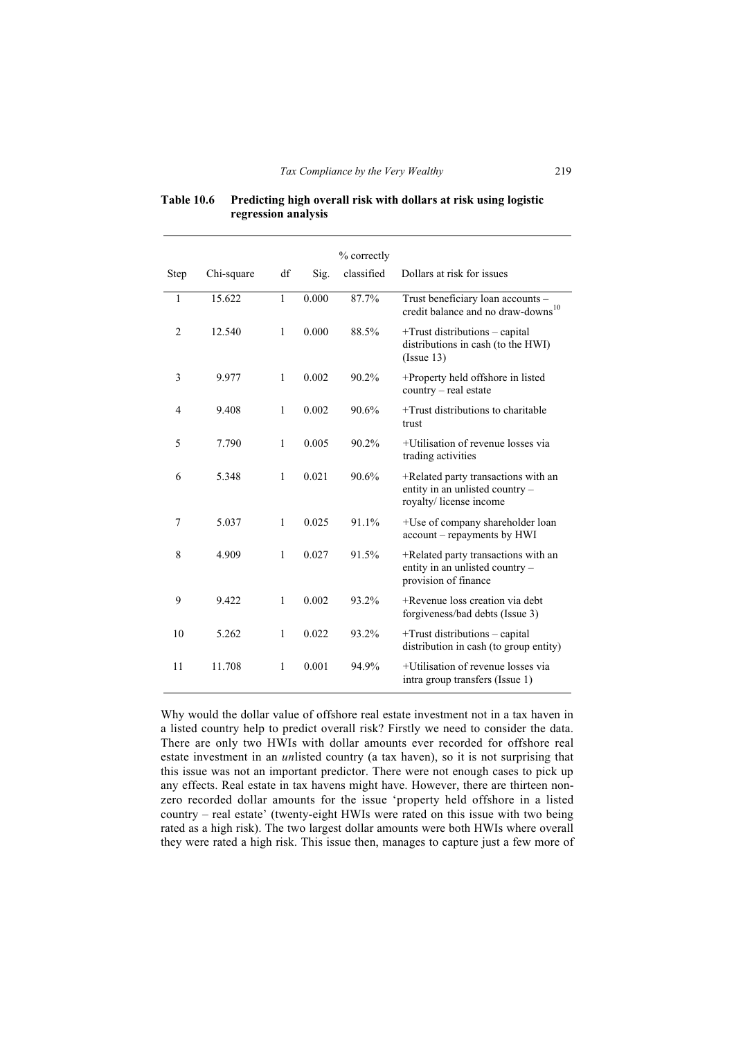|              |            |              |       | % correctly |                                                                                                  |
|--------------|------------|--------------|-------|-------------|--------------------------------------------------------------------------------------------------|
| Step         | Chi-square | df           | Sig.  | classified  | Dollars at risk for issues                                                                       |
| $\mathbf{1}$ | 15.622     | $\mathbf{1}$ | 0.000 | 87.7%       | Trust beneficiary loan accounts -<br>credit balance and no draw-downs <sup>10</sup>              |
| 2            | 12.540     | $\mathbf{1}$ | 0.000 | 88.5%       | +Trust distributions – capital<br>distributions in cash (to the HWI)<br>(Is sue 13)              |
| 3            | 9.977      | $\mathbf{1}$ | 0.002 | 90.2%       | +Property held offshore in listed<br>country - real estate                                       |
| 4            | 9.408      | $\mathbf{1}$ | 0.002 | 90.6%       | +Trust distributions to charitable<br>trust                                                      |
| 5            | 7.790      | 1            | 0.005 | 90.2%       | +Utilisation of revenue losses via<br>trading activities                                         |
| 6            | 5.348      | $\mathbf{1}$ | 0.021 | 90.6%       | +Related party transactions with an<br>entity in an unlisted country -<br>royalty/license income |
| 7            | 5.037      | 1            | 0.025 | 91.1%       | +Use of company shareholder loan<br>account – repayments by HWI                                  |
| 8            | 4.909      | $\mathbf{1}$ | 0.027 | 91.5%       | +Related party transactions with an<br>entity in an unlisted country -<br>provision of finance   |
| 9            | 9.422      | 1            | 0.002 | 93.2%       | +Revenue loss creation via debt<br>forgiveness/bad debts (Issue 3)                               |
| 10           | 5.262      | $\mathbf{1}$ | 0.022 | 93.2%       | +Trust distributions – capital<br>distribution in cash (to group entity)                         |
| 11           | 11.708     | 1            | 0.001 | 94.9%       | +Utilisation of revenue losses via<br>intra group transfers (Issue 1)                            |

# **Table 10.6 Predicting high overall risk with dollars at risk using logistic regression analysis**

Why would the dollar value of offshore real estate investment not in a tax haven in a listed country help to predict overall risk? Firstly we need to consider the data. There are only two HWIs with dollar amounts ever recorded for offshore real estate investment in an *un*listed country (a tax haven), so it is not surprising that this issue was not an important predictor. There were not enough cases to pick up any effects. Real estate in tax havens might have. However, there are thirteen nonzero recorded dollar amounts for the issue 'property held offshore in a listed country – real estate' (twenty-eight HWIs were rated on this issue with two being rated as a high risk). The two largest dollar amounts were both HWIs where overall they were rated a high risk. This issue then, manages to capture just a few more of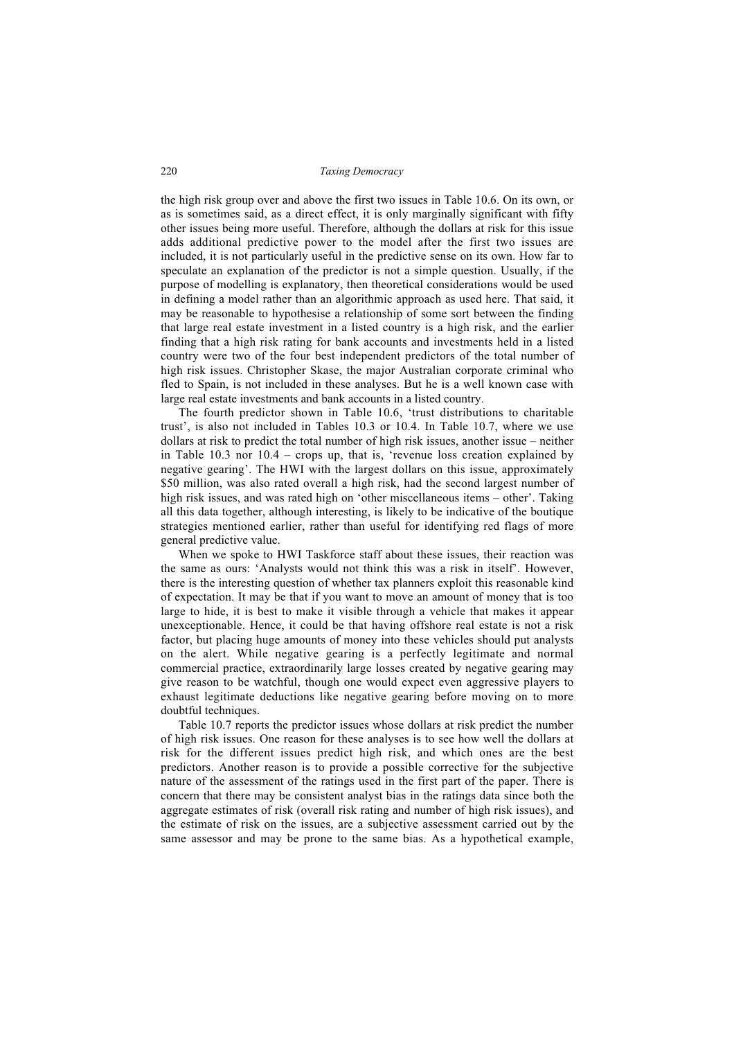the high risk group over and above the first two issues in Table 10.6. On its own, or as is sometimes said, as a direct effect, it is only marginally significant with fifty other issues being more useful. Therefore, although the dollars at risk for this issue adds additional predictive power to the model after the first two issues are included, it is not particularly useful in the predictive sense on its own. How far to speculate an explanation of the predictor is not a simple question. Usually, if the purpose of modelling is explanatory, then theoretical considerations would be used in defining a model rather than an algorithmic approach as used here. That said, it may be reasonable to hypothesise a relationship of some sort between the finding that large real estate investment in a listed country is a high risk, and the earlier finding that a high risk rating for bank accounts and investments held in a listed country were two of the four best independent predictors of the total number of high risk issues. Christopher Skase, the major Australian corporate criminal who fled to Spain, is not included in these analyses. But he is a well known case with large real estate investments and bank accounts in a listed country.

The fourth predictor shown in Table 10.6, 'trust distributions to charitable trust', is also not included in Tables 10.3 or 10.4. In Table 10.7, where we use dollars at risk to predict the total number of high risk issues, another issue – neither in Table 10.3 nor 10.4 – crops up, that is, 'revenue loss creation explained by negative gearing'. The HWI with the largest dollars on this issue, approximately \$50 million, was also rated overall a high risk, had the second largest number of high risk issues, and was rated high on 'other miscellaneous items – other'. Taking all this data together, although interesting, is likely to be indicative of the boutique strategies mentioned earlier, rather than useful for identifying red flags of more general predictive value.

When we spoke to HWI Taskforce staff about these issues, their reaction was the same as ours: 'Analysts would not think this was a risk in itself'. However, there is the interesting question of whether tax planners exploit this reasonable kind of expectation. It may be that if you want to move an amount of money that is too large to hide, it is best to make it visible through a vehicle that makes it appear unexceptionable. Hence, it could be that having offshore real estate is not a risk factor, but placing huge amounts of money into these vehicles should put analysts on the alert. While negative gearing is a perfectly legitimate and normal commercial practice, extraordinarily large losses created by negative gearing may give reason to be watchful, though one would expect even aggressive players to exhaust legitimate deductions like negative gearing before moving on to more doubtful techniques.

Table 10.7 reports the predictor issues whose dollars at risk predict the number of high risk issues. One reason for these analyses is to see how well the dollars at risk for the different issues predict high risk, and which ones are the best predictors. Another reason is to provide a possible corrective for the subjective nature of the assessment of the ratings used in the first part of the paper. There is concern that there may be consistent analyst bias in the ratings data since both the aggregate estimates of risk (overall risk rating and number of high risk issues), and the estimate of risk on the issues, are a subjective assessment carried out by the same assessor and may be prone to the same bias. As a hypothetical example,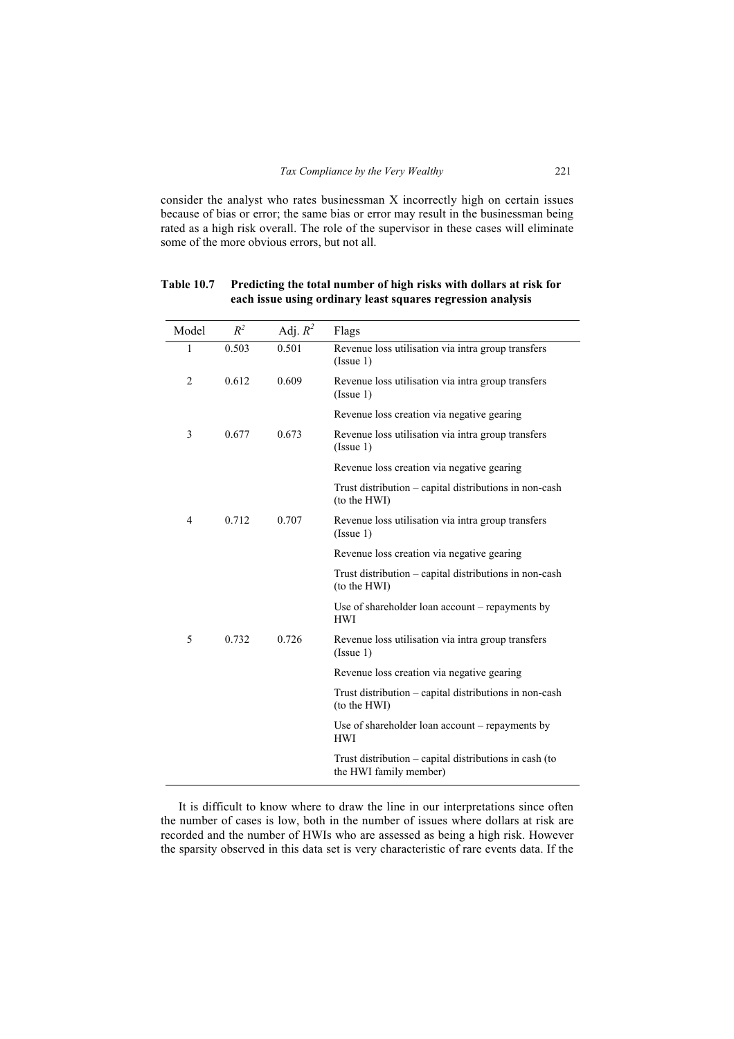consider the analyst who rates businessman X incorrectly high on certain issues because of bias or error; the same bias or error may result in the businessman being rated as a high risk overall. The role of the supervisor in these cases will eliminate some of the more obvious errors, but not all.

| Model        | $R^2$ | Adj. $R^2$ | Flags                                                                            |
|--------------|-------|------------|----------------------------------------------------------------------------------|
| $\mathbf{1}$ | 0.503 | 0.501      | Revenue loss utilisation via intra group transfers<br>(Issue 1)                  |
| 2            | 0.612 | 0.609      | Revenue loss utilisation via intra group transfers<br>(Issue 1)                  |
|              |       |            | Revenue loss creation via negative gearing                                       |
| 3            | 0.677 | 0.673      | Revenue loss utilisation via intra group transfers<br>(Issue 1)                  |
|              |       |            | Revenue loss creation via negative gearing                                       |
|              |       |            | Trust distribution – capital distributions in non-cash<br>(to the HWI)           |
| 4            | 0.712 | 0.707      | Revenue loss utilisation via intra group transfers<br>(Issue 1)                  |
|              |       |            | Revenue loss creation via negative gearing                                       |
|              |       |            | Trust distribution – capital distributions in non-cash<br>(to the HWI)           |
|              |       |            | Use of shareholder loan account $-$ repayments by<br><b>HWI</b>                  |
| 5            | 0.732 | 0.726      | Revenue loss utilisation via intra group transfers<br>(Issue 1)                  |
|              |       |            | Revenue loss creation via negative gearing                                       |
|              |       |            | Trust distribution – capital distributions in non-cash<br>(to the HWI)           |
|              |       |            | Use of shareholder loan account $-$ repayments by<br><b>HWI</b>                  |
|              |       |            | Trust distribution – capital distributions in cash (to<br>the HWI family member) |

**Table 10.7 Predicting the total number of high risks with dollars at risk for each issue using ordinary least squares regression analysis**

It is difficult to know where to draw the line in our interpretations since often the number of cases is low, both in the number of issues where dollars at risk are recorded and the number of HWIs who are assessed as being a high risk. However the sparsity observed in this data set is very characteristic of rare events data. If the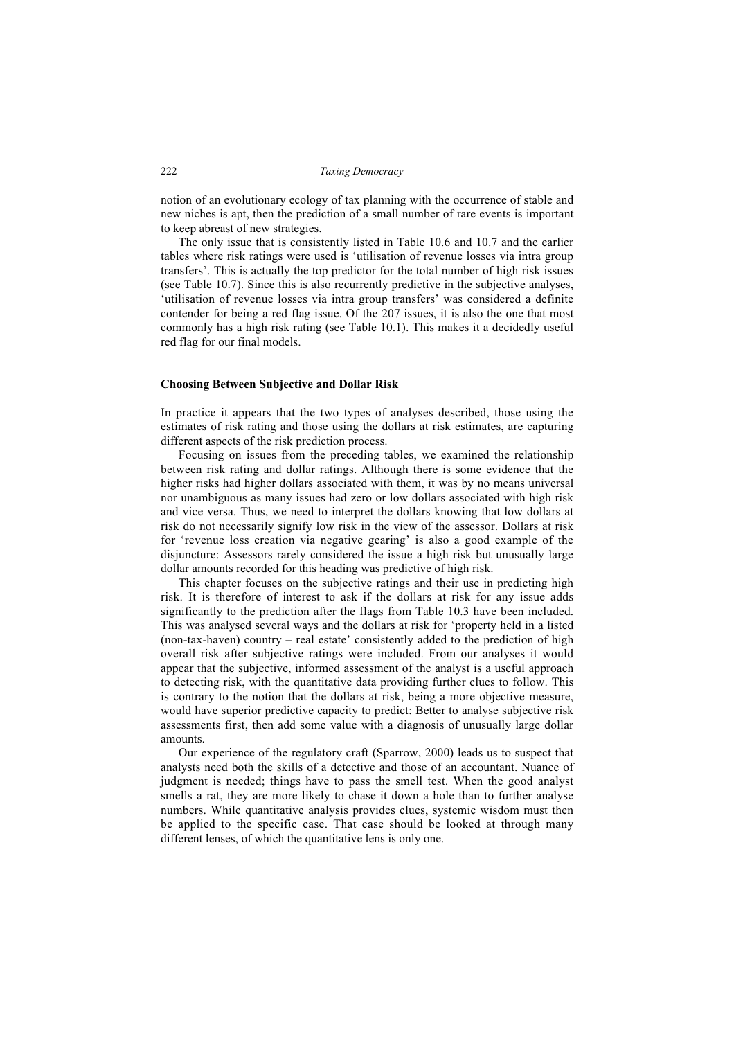notion of an evolutionary ecology of tax planning with the occurrence of stable and new niches is apt, then the prediction of a small number of rare events is important to keep abreast of new strategies.

The only issue that is consistently listed in Table 10.6 and 10.7 and the earlier tables where risk ratings were used is 'utilisation of revenue losses via intra group transfers'. This is actually the top predictor for the total number of high risk issues (see Table 10.7). Since this is also recurrently predictive in the subjective analyses, 'utilisation of revenue losses via intra group transfers' was considered a definite contender for being a red flag issue. Of the 207 issues, it is also the one that most commonly has a high risk rating (see Table 10.1). This makes it a decidedly useful red flag for our final models.

#### **Choosing Between Subjective and Dollar Risk**

In practice it appears that the two types of analyses described, those using the estimates of risk rating and those using the dollars at risk estimates, are capturing different aspects of the risk prediction process.

Focusing on issues from the preceding tables, we examined the relationship between risk rating and dollar ratings. Although there is some evidence that the higher risks had higher dollars associated with them, it was by no means universal nor unambiguous as many issues had zero or low dollars associated with high risk and vice versa. Thus, we need to interpret the dollars knowing that low dollars at risk do not necessarily signify low risk in the view of the assessor. Dollars at risk for 'revenue loss creation via negative gearing' is also a good example of the disjuncture: Assessors rarely considered the issue a high risk but unusually large dollar amounts recorded for this heading was predictive of high risk.

This chapter focuses on the subjective ratings and their use in predicting high risk. It is therefore of interest to ask if the dollars at risk for any issue adds significantly to the prediction after the flags from Table 10.3 have been included. This was analysed several ways and the dollars at risk for 'property held in a listed (non-tax-haven) country – real estate' consistently added to the prediction of high overall risk after subjective ratings were included. From our analyses it would appear that the subjective, informed assessment of the analyst is a useful approach to detecting risk, with the quantitative data providing further clues to follow. This is contrary to the notion that the dollars at risk, being a more objective measure, would have superior predictive capacity to predict: Better to analyse subjective risk assessments first, then add some value with a diagnosis of unusually large dollar amounts.

Our experience of the regulatory craft (Sparrow, 2000) leads us to suspect that analysts need both the skills of a detective and those of an accountant. Nuance of judgment is needed; things have to pass the smell test. When the good analyst smells a rat, they are more likely to chase it down a hole than to further analyse numbers. While quantitative analysis provides clues, systemic wisdom must then be applied to the specific case. That case should be looked at through many different lenses, of which the quantitative lens is only one.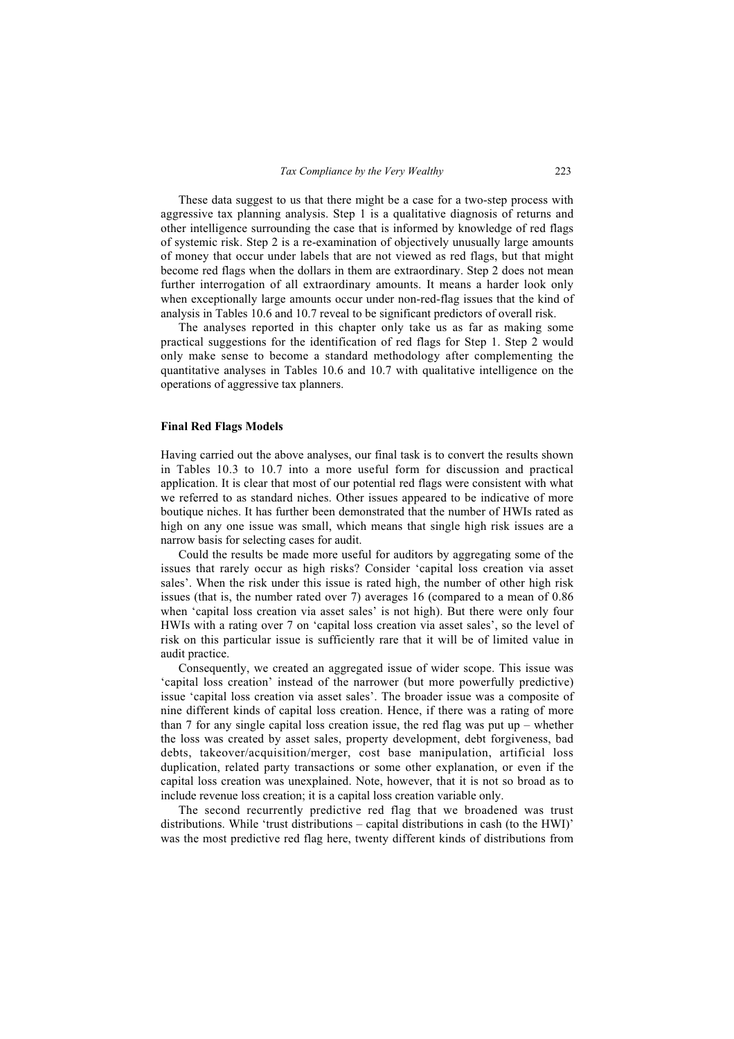These data suggest to us that there might be a case for a two-step process with aggressive tax planning analysis. Step 1 is a qualitative diagnosis of returns and other intelligence surrounding the case that is informed by knowledge of red flags of systemic risk. Step 2 is a re-examination of objectively unusually large amounts of money that occur under labels that are not viewed as red flags, but that might become red flags when the dollars in them are extraordinary. Step 2 does not mean further interrogation of all extraordinary amounts. It means a harder look only when exceptionally large amounts occur under non-red-flag issues that the kind of analysis in Tables 10.6 and 10.7 reveal to be significant predictors of overall risk.

The analyses reported in this chapter only take us as far as making some practical suggestions for the identification of red flags for Step 1. Step 2 would only make sense to become a standard methodology after complementing the quantitative analyses in Tables 10.6 and 10.7 with qualitative intelligence on the operations of aggressive tax planners.

#### **Final Red Flags Models**

Having carried out the above analyses, our final task is to convert the results shown in Tables 10.3 to 10.7 into a more useful form for discussion and practical application. It is clear that most of our potential red flags were consistent with what we referred to as standard niches. Other issues appeared to be indicative of more boutique niches. It has further been demonstrated that the number of HWIs rated as high on any one issue was small, which means that single high risk issues are a narrow basis for selecting cases for audit.

Could the results be made more useful for auditors by aggregating some of the issues that rarely occur as high risks? Consider 'capital loss creation via asset sales'. When the risk under this issue is rated high, the number of other high risk issues (that is, the number rated over 7) averages 16 (compared to a mean of 0.86 when 'capital loss creation via asset sales' is not high). But there were only four HWIs with a rating over 7 on 'capital loss creation via asset sales', so the level of risk on this particular issue is sufficiently rare that it will be of limited value in audit practice.

Consequently, we created an aggregated issue of wider scope. This issue was 'capital loss creation' instead of the narrower (but more powerfully predictive) issue 'capital loss creation via asset sales'. The broader issue was a composite of nine different kinds of capital loss creation. Hence, if there was a rating of more than 7 for any single capital loss creation issue, the red flag was put up – whether the loss was created by asset sales, property development, debt forgiveness, bad debts, takeover/acquisition/merger, cost base manipulation, artificial loss duplication, related party transactions or some other explanation, or even if the capital loss creation was unexplained. Note, however, that it is not so broad as to include revenue loss creation; it is a capital loss creation variable only.

The second recurrently predictive red flag that we broadened was trust distributions. While 'trust distributions – capital distributions in cash (to the HWI)' was the most predictive red flag here, twenty different kinds of distributions from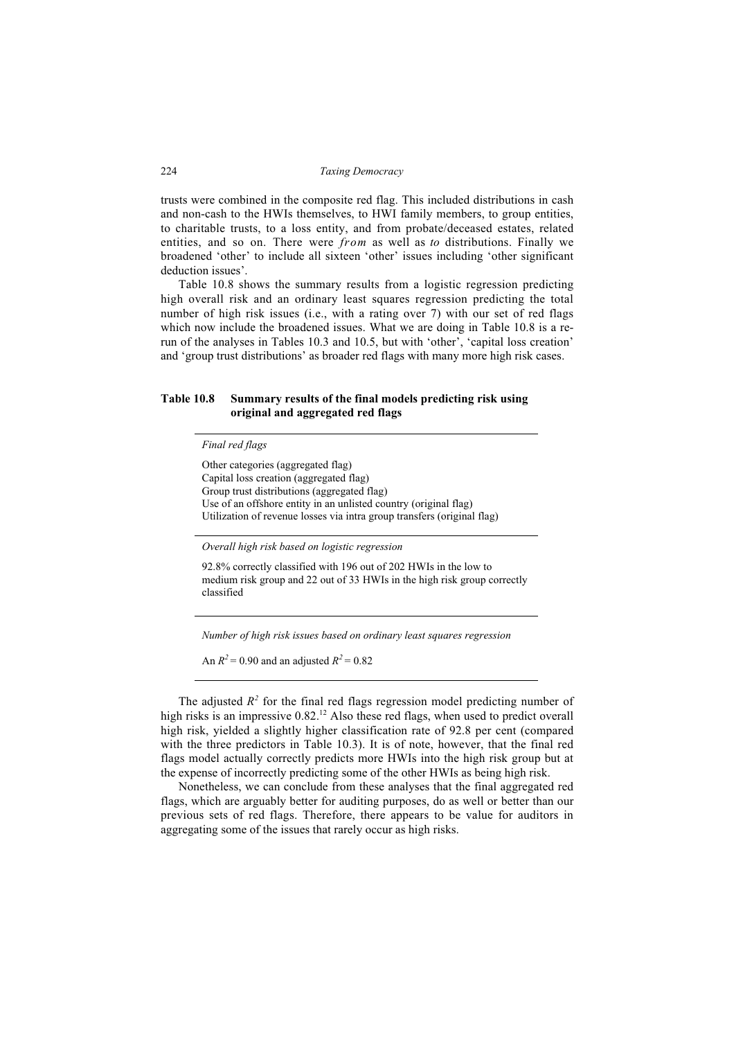trusts were combined in the composite red flag. This included distributions in cash and non-cash to the HWIs themselves, to HWI family members, to group entities, to charitable trusts, to a loss entity, and from probate/deceased estates, related entities, and so on. There were *from* as well as *to* distributions. Finally we broadened 'other' to include all sixteen 'other' issues including 'other significant deduction issues'.

Table 10.8 shows the summary results from a logistic regression predicting high overall risk and an ordinary least squares regression predicting the total number of high risk issues (i.e., with a rating over 7) with our set of red flags which now include the broadened issues. What we are doing in Table 10.8 is a rerun of the analyses in Tables 10.3 and 10.5, but with 'other', 'capital loss creation' and 'group trust distributions' as broader red flags with many more high risk cases.

# **Table 10.8 Summary results of the final models predicting risk using original and aggregated red flags**

*Final red flags*

Other categories (aggregated flag) Capital loss creation (aggregated flag) Group trust distributions (aggregated flag) Use of an offshore entity in an unlisted country (original flag) Utilization of revenue losses via intra group transfers (original flag)

*Overall high risk based on logistic regression*

92.8% correctly classified with 196 out of 202 HWIs in the low to medium risk group and 22 out of 33 HWIs in the high risk group correctly classified

*Number of high risk issues based on ordinary least squares regression*

An  $R^2$  = 0.90 and an adjusted  $R^2$  = 0.82

The adjusted  $R^2$  for the final red flags regression model predicting number of high risks is an impressive 0.82.<sup>12</sup> Also these red flags, when used to predict overall high risk, yielded a slightly higher classification rate of 92.8 per cent (compared with the three predictors in Table 10.3). It is of note, however, that the final red flags model actually correctly predicts more HWIs into the high risk group but at the expense of incorrectly predicting some of the other HWIs as being high risk.

Nonetheless, we can conclude from these analyses that the final aggregated red flags, which are arguably better for auditing purposes, do as well or better than our previous sets of red flags. Therefore, there appears to be value for auditors in aggregating some of the issues that rarely occur as high risks.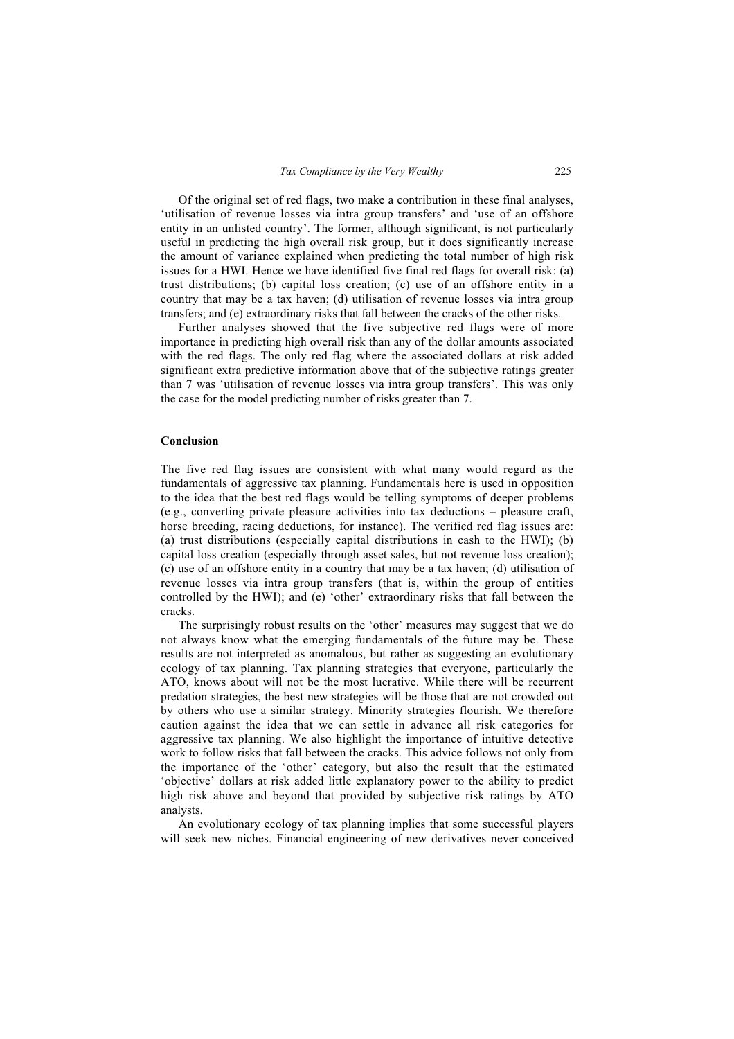Of the original set of red flags, two make a contribution in these final analyses, 'utilisation of revenue losses via intra group transfers' and 'use of an offshore entity in an unlisted country'. The former, although significant, is not particularly useful in predicting the high overall risk group, but it does significantly increase the amount of variance explained when predicting the total number of high risk issues for a HWI. Hence we have identified five final red flags for overall risk: (a) trust distributions; (b) capital loss creation; (c) use of an offshore entity in a country that may be a tax haven; (d) utilisation of revenue losses via intra group transfers; and (e) extraordinary risks that fall between the cracks of the other risks.

Further analyses showed that the five subjective red flags were of more importance in predicting high overall risk than any of the dollar amounts associated with the red flags. The only red flag where the associated dollars at risk added significant extra predictive information above that of the subjective ratings greater than 7 was 'utilisation of revenue losses via intra group transfers'. This was only the case for the model predicting number of risks greater than 7.

#### **Conclusion**

The five red flag issues are consistent with what many would regard as the fundamentals of aggressive tax planning. Fundamentals here is used in opposition to the idea that the best red flags would be telling symptoms of deeper problems (e.g., converting private pleasure activities into tax deductions – pleasure craft, horse breeding, racing deductions, for instance). The verified red flag issues are: (a) trust distributions (especially capital distributions in cash to the HWI); (b) capital loss creation (especially through asset sales, but not revenue loss creation); (c) use of an offshore entity in a country that may be a tax haven; (d) utilisation of revenue losses via intra group transfers (that is, within the group of entities controlled by the HWI); and (e) 'other' extraordinary risks that fall between the cracks.

The surprisingly robust results on the 'other' measures may suggest that we do not always know what the emerging fundamentals of the future may be. These results are not interpreted as anomalous, but rather as suggesting an evolutionary ecology of tax planning. Tax planning strategies that everyone, particularly the ATO, knows about will not be the most lucrative. While there will be recurrent predation strategies, the best new strategies will be those that are not crowded out by others who use a similar strategy. Minority strategies flourish. We therefore caution against the idea that we can settle in advance all risk categories for aggressive tax planning. We also highlight the importance of intuitive detective work to follow risks that fall between the cracks. This advice follows not only from the importance of the 'other' category, but also the result that the estimated 'objective' dollars at risk added little explanatory power to the ability to predict high risk above and beyond that provided by subjective risk ratings by ATO analysts.

An evolutionary ecology of tax planning implies that some successful players will seek new niches. Financial engineering of new derivatives never conceived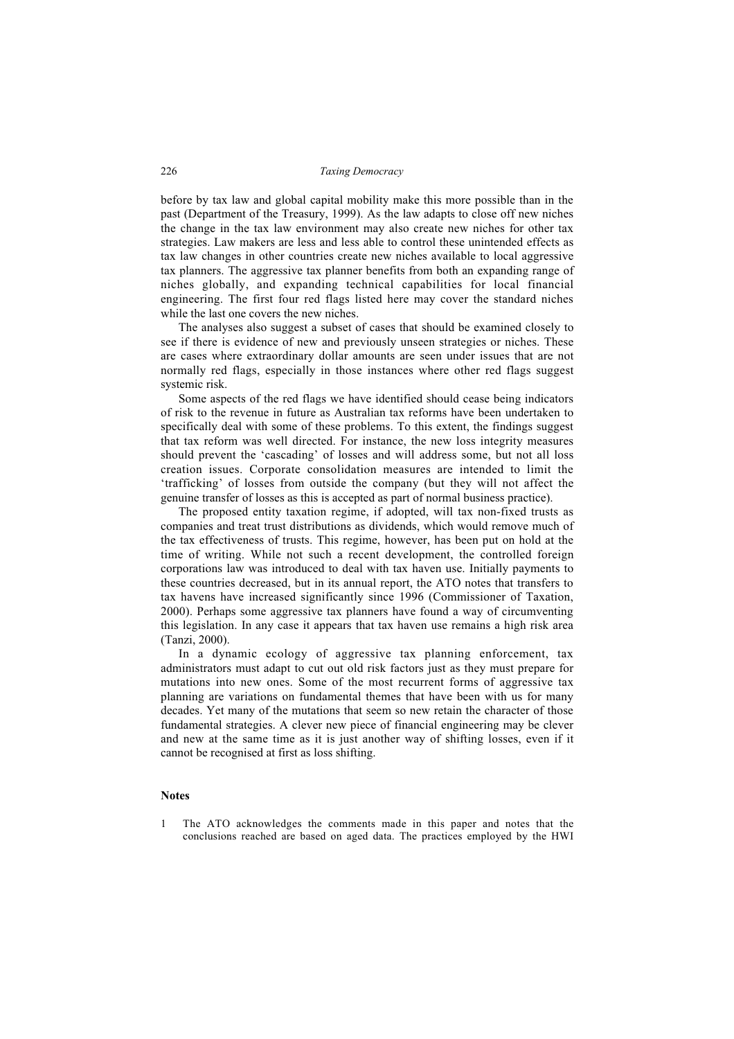before by tax law and global capital mobility make this more possible than in the past (Department of the Treasury, 1999). As the law adapts to close off new niches the change in the tax law environment may also create new niches for other tax strategies. Law makers are less and less able to control these unintended effects as tax law changes in other countries create new niches available to local aggressive tax planners. The aggressive tax planner benefits from both an expanding range of niches globally, and expanding technical capabilities for local financial engineering. The first four red flags listed here may cover the standard niches while the last one covers the new niches.

The analyses also suggest a subset of cases that should be examined closely to see if there is evidence of new and previously unseen strategies or niches. These are cases where extraordinary dollar amounts are seen under issues that are not normally red flags, especially in those instances where other red flags suggest systemic risk.

Some aspects of the red flags we have identified should cease being indicators of risk to the revenue in future as Australian tax reforms have been undertaken to specifically deal with some of these problems. To this extent, the findings suggest that tax reform was well directed. For instance, the new loss integrity measures should prevent the 'cascading' of losses and will address some, but not all loss creation issues. Corporate consolidation measures are intended to limit the 'trafficking' of losses from outside the company (but they will not affect the genuine transfer of losses as this is accepted as part of normal business practice).

The proposed entity taxation regime, if adopted, will tax non-fixed trusts as companies and treat trust distributions as dividends, which would remove much of the tax effectiveness of trusts. This regime, however, has been put on hold at the time of writing. While not such a recent development, the controlled foreign corporations law was introduced to deal with tax haven use. Initially payments to these countries decreased, but in its annual report, the ATO notes that transfers to tax havens have increased significantly since 1996 (Commissioner of Taxation, 2000). Perhaps some aggressive tax planners have found a way of circumventing this legislation. In any case it appears that tax haven use remains a high risk area (Tanzi, 2000).

In a dynamic ecology of aggressive tax planning enforcement, tax administrators must adapt to cut out old risk factors just as they must prepare for mutations into new ones. Some of the most recurrent forms of aggressive tax planning are variations on fundamental themes that have been with us for many decades. Yet many of the mutations that seem so new retain the character of those fundamental strategies. A clever new piece of financial engineering may be clever and new at the same time as it is just another way of shifting losses, even if it cannot be recognised at first as loss shifting.

#### **Notes**

1 The ATO acknowledges the comments made in this paper and notes that the conclusions reached are based on aged data. The practices employed by the HWI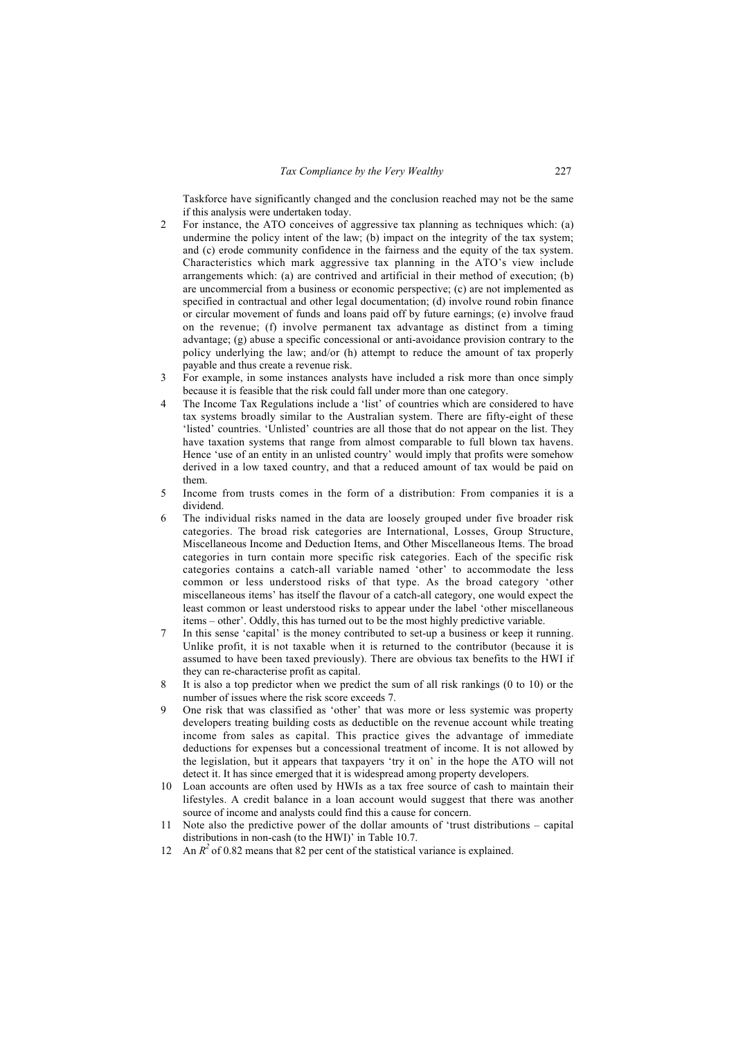Taskforce have significantly changed and the conclusion reached may not be the same if this analysis were undertaken today.

- 2 For instance, the ATO conceives of aggressive tax planning as techniques which: (a) undermine the policy intent of the law; (b) impact on the integrity of the tax system; and (c) erode community confidence in the fairness and the equity of the tax system. Characteristics which mark aggressive tax planning in the ATO's view include arrangements which: (a) are contrived and artificial in their method of execution; (b) are uncommercial from a business or economic perspective; (c) are not implemented as specified in contractual and other legal documentation; (d) involve round robin finance or circular movement of funds and loans paid off by future earnings; (e) involve fraud on the revenue; (f) involve permanent tax advantage as distinct from a timing advantage; (g) abuse a specific concessional or anti-avoidance provision contrary to the policy underlying the law; and/or (h) attempt to reduce the amount of tax properly payable and thus create a revenue risk.
- 3 For example, in some instances analysts have included a risk more than once simply because it is feasible that the risk could fall under more than one category.
- 4 The Income Tax Regulations include a 'list' of countries which are considered to have tax systems broadly similar to the Australian system. There are fifty-eight of these 'listed' countries. 'Unlisted' countries are all those that do not appear on the list. They have taxation systems that range from almost comparable to full blown tax havens. Hence 'use of an entity in an unlisted country' would imply that profits were somehow derived in a low taxed country, and that a reduced amount of tax would be paid on them.
- 5 Income from trusts comes in the form of a distribution: From companies it is a dividend.
- 6 The individual risks named in the data are loosely grouped under five broader risk categories. The broad risk categories are International, Losses, Group Structure, Miscellaneous Income and Deduction Items, and Other Miscellaneous Items. The broad categories in turn contain more specific risk categories. Each of the specific risk categories contains a catch-all variable named 'other' to accommodate the less common or less understood risks of that type. As the broad category 'other miscellaneous items' has itself the flavour of a catch-all category, one would expect the least common or least understood risks to appear under the label 'other miscellaneous items – other'. Oddly, this has turned out to be the most highly predictive variable.
- In this sense 'capital' is the money contributed to set-up a business or keep it running. Unlike profit, it is not taxable when it is returned to the contributor (because it is assumed to have been taxed previously). There are obvious tax benefits to the HWI if they can re-characterise profit as capital.
- 8 It is also a top predictor when we predict the sum of all risk rankings (0 to 10) or the number of issues where the risk score exceeds 7.
- 9 One risk that was classified as 'other' that was more or less systemic was property developers treating building costs as deductible on the revenue account while treating income from sales as capital. This practice gives the advantage of immediate deductions for expenses but a concessional treatment of income. It is not allowed by the legislation, but it appears that taxpayers 'try it on' in the hope the ATO will not detect it. It has since emerged that it is widespread among property developers.
- 10 Loan accounts are often used by HWIs as a tax free source of cash to maintain their lifestyles. A credit balance in a loan account would suggest that there was another source of income and analysts could find this a cause for concern.
- 11 Note also the predictive power of the dollar amounts of 'trust distributions capital distributions in non-cash (to the HWI)' in Table 10.7.
- 12 An  $R^2$  of 0.82 means that 82 per cent of the statistical variance is explained.